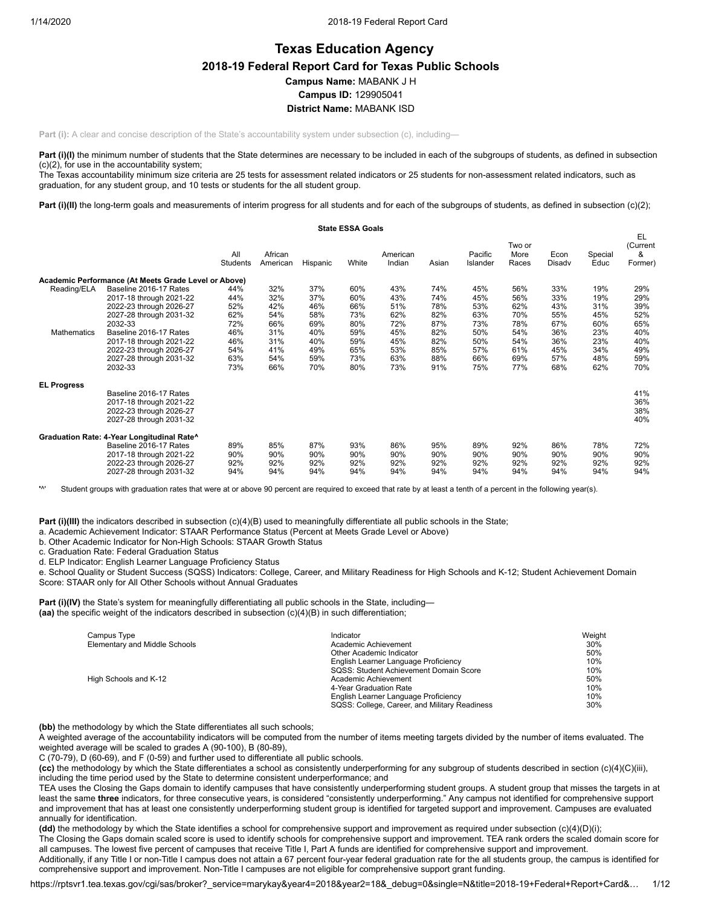# **Texas Education Agency 2018-19 Federal Report Card for Texas Public Schools Campus Name:** MABANK J H **Campus ID:** 129905041 **District Name:** MABANK ISD

**Part (i):** A clear and concise description of the State's accountability system under subsection (c), including—

Part (i)(I) the minimum number of students that the State determines are necessary to be included in each of the subgroups of students, as defined in subsection (c)(2), for use in the accountability system;

The Texas accountability minimum size criteria are 25 tests for assessment related indicators or 25 students for non-assessment related indicators, such as graduation, for any student group, and 10 tests or students for the all student group.

Part (i)(II) the long-term goals and measurements of interim progress for all students and for each of the subgroups of students, as defined in subsection (c)(2);

|                    |                                                      |                 |                     |          | <b>State ESSA Goals</b> |                    |       |                     |                         |                |                 |                                |
|--------------------|------------------------------------------------------|-----------------|---------------------|----------|-------------------------|--------------------|-------|---------------------|-------------------------|----------------|-----------------|--------------------------------|
|                    |                                                      | All<br>Students | African<br>American | Hispanic | White                   | American<br>Indian | Asian | Pacific<br>Islander | Two or<br>More<br>Races | Econ<br>Disadv | Special<br>Educ | EL<br>(Current<br>&<br>Former) |
|                    | Academic Performance (At Meets Grade Level or Above) |                 |                     |          |                         |                    |       |                     |                         |                |                 |                                |
| Reading/ELA        | Baseline 2016-17 Rates                               | 44%             | 32%                 | 37%      | 60%                     | 43%                | 74%   | 45%                 | 56%                     | 33%            | 19%             | 29%                            |
|                    | 2017-18 through 2021-22                              | 44%             | 32%                 | 37%      | 60%                     | 43%                | 74%   | 45%                 | 56%                     | 33%            | 19%             | 29%                            |
|                    | 2022-23 through 2026-27                              | 52%             | 42%                 | 46%      | 66%                     | 51%                | 78%   | 53%                 | 62%                     | 43%            | 31%             | 39%                            |
|                    | 2027-28 through 2031-32                              | 62%             | 54%                 | 58%      | 73%                     | 62%                | 82%   | 63%                 | 70%                     | 55%            | 45%             | 52%                            |
|                    | 2032-33                                              | 72%             | 66%                 | 69%      | 80%                     | 72%                | 87%   | 73%                 | 78%                     | 67%            | 60%             | 65%                            |
| Mathematics        | Baseline 2016-17 Rates                               | 46%             | 31%                 | 40%      | 59%                     | 45%                | 82%   | 50%                 | 54%                     | 36%            | 23%             | 40%                            |
|                    | 2017-18 through 2021-22                              | 46%             | 31%                 | 40%      | 59%                     | 45%                | 82%   | 50%                 | 54%                     | 36%            | 23%             | 40%                            |
|                    | 2022-23 through 2026-27                              | 54%             | 41%                 | 49%      | 65%                     | 53%                | 85%   | 57%                 | 61%                     | 45%            | 34%             | 49%                            |
|                    | 2027-28 through 2031-32                              | 63%             | 54%                 | 59%      | 73%                     | 63%                | 88%   | 66%                 | 69%                     | 57%            | 48%             | 59%                            |
|                    | 2032-33                                              | 73%             | 66%                 | 70%      | 80%                     | 73%                | 91%   | 75%                 | 77%                     | 68%            | 62%             | 70%                            |
| <b>EL Progress</b> |                                                      |                 |                     |          |                         |                    |       |                     |                         |                |                 |                                |
|                    | Baseline 2016-17 Rates                               |                 |                     |          |                         |                    |       |                     |                         |                |                 | 41%                            |
|                    | 2017-18 through 2021-22                              |                 |                     |          |                         |                    |       |                     |                         |                |                 | 36%                            |
|                    | 2022-23 through 2026-27                              |                 |                     |          |                         |                    |       |                     |                         |                |                 | 38%                            |
|                    | 2027-28 through 2031-32                              |                 |                     |          |                         |                    |       |                     |                         |                |                 | 40%                            |
|                    | Graduation Rate: 4-Year Longitudinal Rate^           |                 |                     |          |                         |                    |       |                     |                         |                |                 |                                |
|                    | Baseline 2016-17 Rates                               | 89%             | 85%                 | 87%      | 93%                     | 86%                | 95%   | 89%                 | 92%                     | 86%            | 78%             | 72%                            |
|                    | 2017-18 through 2021-22                              | 90%             | 90%                 | 90%      | 90%                     | 90%                | 90%   | 90%                 | 90%                     | 90%            | 90%             | 90%                            |
|                    | 2022-23 through 2026-27                              | 92%             | 92%                 | 92%      | 92%                     | 92%                | 92%   | 92%                 | 92%                     | 92%            | 92%             | 92%                            |
|                    | 2027-28 through 2031-32                              | 94%             | 94%                 | 94%      | 94%                     | 94%                | 94%   | 94%                 | 94%                     | 94%            | 94%             | 94%                            |

**'**^' Student groups with graduation rates that were at or above 90 percent are required to exceed that rate by at least a tenth of a percent in the following year(s).

**Part (i)(III)** the indicators described in subsection (c)(4)(B) used to meaningfully differentiate all public schools in the State;

a. Academic Achievement Indicator: STAAR Performance Status (Percent at Meets Grade Level or Above)

b. Other Academic Indicator for Non-High Schools: STAAR Growth Status

c. Graduation Rate: Federal Graduation Status

d. ELP Indicator: English Learner Language Proficiency Status

e. School Quality or Student Success (SQSS) Indicators: College, Career, and Military Readiness for High Schools and K-12; Student Achievement Domain Score: STAAR only for All Other Schools without Annual Graduates

**Part (i)(IV)** the State's system for meaningfully differentiating all public schools in the State, including— **(aa)** the specific weight of the indicators described in subsection (c)(4)(B) in such differentiation;

| Campus Type                   | Indicator                                     | Weight |
|-------------------------------|-----------------------------------------------|--------|
| Elementary and Middle Schools | Academic Achievement                          | 30%    |
|                               | Other Academic Indicator                      | 50%    |
|                               | English Learner Language Proficiency          | 10%    |
|                               | SQSS: Student Achievement Domain Score        | 10%    |
| High Schools and K-12         | Academic Achievement                          | 50%    |
|                               | 4-Year Graduation Rate                        | 10%    |
|                               | English Learner Language Proficiency          | 10%    |
|                               | SQSS: College, Career, and Military Readiness | 30%    |

**(bb)** the methodology by which the State differentiates all such schools;

A weighted average of the accountability indicators will be computed from the number of items meeting targets divided by the number of items evaluated. The weighted average will be scaled to grades A (90-100), B (80-89),

C (70-79), D (60-69), and F (0-59) and further used to differentiate all public schools.

**(cc)** the methodology by which the State differentiates a school as consistently underperforming for any subgroup of students described in section (c)(4)(C)(iii), including the time period used by the State to determine consistent underperformance; and

TEA uses the Closing the Gaps domain to identify campuses that have consistently underperforming student groups. A student group that misses the targets in at least the same **three** indicators, for three consecutive years, is considered "consistently underperforming." Any campus not identified for comprehensive support and improvement that has at least one consistently underperforming student group is identified for targeted support and improvement. Campuses are evaluated annually for identification.

**(dd)** the methodology by which the State identifies a school for comprehensive support and improvement as required under subsection (c)(4)(D)(i);

The Closing the Gaps domain scaled score is used to identify schools for comprehensive support and improvement. TEA rank orders the scaled domain score for all campuses. The lowest five percent of campuses that receive Title I, Part A funds are identified for comprehensive support and improvement.

Additionally, if any Title I or non-Title I campus does not attain a 67 percent four-year federal graduation rate for the all students group, the campus is identified for comprehensive support and improvement. Non-Title I campuses are not eligible for comprehensive support grant funding.

https://rptsvr1.tea.texas.gov/cgi/sas/broker?\_service=marykay&year4=2018&year2=18&\_debug=0&single=N&title=2018-19+Federal+Report+Card&… 1/12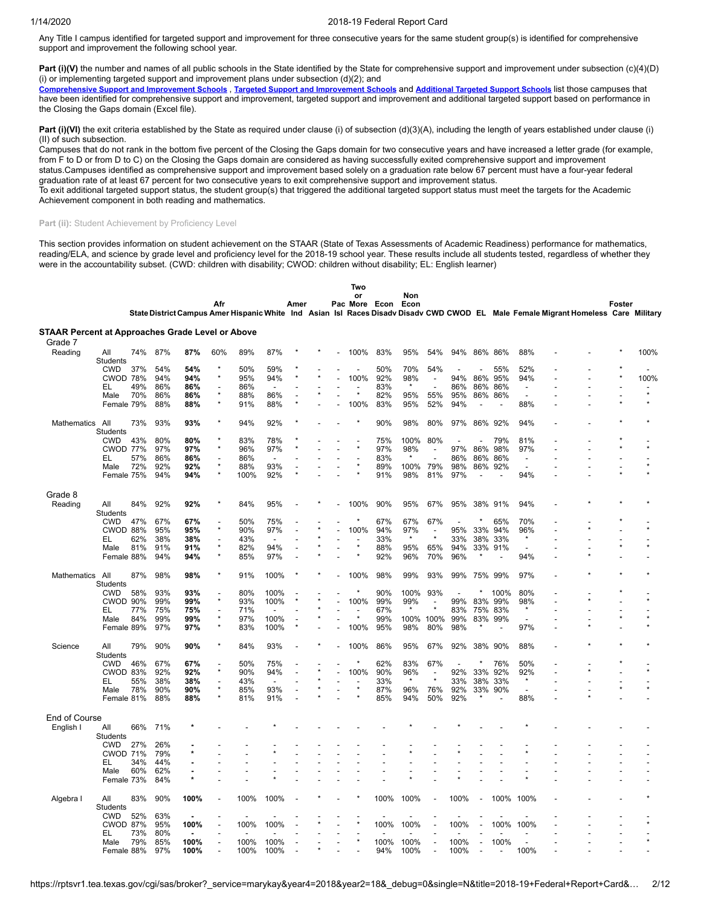Any Title I campus identified for targeted support and improvement for three consecutive years for the same student group(s) is identified for comprehensive support and improvement the following school year.

**Part (i)(V)** the number and names of all public schools in the State identified by the State for comprehensive support and improvement under subsection (c)(4)(D) (i) or implementing targeted support and improvement plans under subsection  $(d)(2)$ ; and

[Comprehensive](https://tea.texas.gov/sites/default/files/comprehensive_support_2019.xlsx) Support and [Improvement](https://tea.texas.gov/sites/default/files/target_support_2019.xlsx) Schools, Targeted Support and Improvement Schools and [Additional](https://tea.texas.gov/sites/default/files/additional_targeted_support_2019.xlsx) Targeted Support Schools list those campuses that have been identified for comprehensive support and improvement, targeted support and improvement and additional targeted support based on performance in the Closing the Gaps domain (Excel file).

Part (i)(VI) the exit criteria established by the State as required under clause (i) of subsection (d)(3)(A), including the length of years established under clause (i) (II) of such subsection.

Campuses that do not rank in the bottom five percent of the Closing the Gaps domain for two consecutive years and have increased a letter grade (for example, from F to D or from D to C) on the Closing the Gaps domain are considered as having successfully exited comprehensive support and improvement status.Campuses identified as comprehensive support and improvement based solely on a graduation rate below 67 percent must have a four-year federal

graduation rate of at least 67 percent for two consecutive years to exit comprehensive support and improvement status.

To exit additional targeted support status, the student group(s) that triggered the additional targeted support status must meet the targets for the Academic Achievement component in both reading and mathematics.

## Part (ii): Student Achievement by Proficiency Level

This section provides information on student achievement on the STAAR (State of Texas Assessments of Academic Readiness) performance for mathematics, reading/ELA, and science by grade level and proficiency level for the 2018-19 school year. These results include all students tested, regardless of whether they were in the accountability subset. (CWD: children with disability; CWOD: children without disability; EL: English learner)

|                                                                    |                        |     |     |         | Afr     |      |                          | Amer |  | Two<br>or<br>Pac More Econ |      | Non<br>Econ |                          |                |                |         |                          |                                                                                                                                    | Foster |         |
|--------------------------------------------------------------------|------------------------|-----|-----|---------|---------|------|--------------------------|------|--|----------------------------|------|-------------|--------------------------|----------------|----------------|---------|--------------------------|------------------------------------------------------------------------------------------------------------------------------------|--------|---------|
|                                                                    |                        |     |     |         |         |      |                          |      |  |                            |      |             |                          |                |                |         |                          | State District Campus Amer Hispanic White Ind Asian Isl Races Disadv Disadv CWD CWOD EL Male Female Migrant Homeless Care Military |        |         |
| <b>STAAR Percent at Approaches Grade Level or Above</b><br>Grade 7 |                        |     |     |         |         |      |                          |      |  |                            |      |             |                          |                |                |         |                          |                                                                                                                                    |        |         |
| Reading                                                            | All<br>Students        | 74% | 87% | 87%     | 60%     | 89%  | 87%                      |      |  | 100%                       | 83%  | 95%         | 54%                      | 94%            | 86%            | 86%     | 88%                      |                                                                                                                                    |        | 100%    |
|                                                                    | <b>CWD</b>             | 37% | 54% | 54%     | $\star$ | 50%  | 59%                      |      |  |                            | 50%  | 70%         | 54%                      |                |                | 55%     | 52%                      |                                                                                                                                    |        |         |
|                                                                    | <b>CWOD 78%</b>        |     | 94% | 94%     | $\star$ | 95%  | 94%                      |      |  | 100%                       | 92%  | 98%         | $\overline{\phantom{a}}$ | 94%            | 86%            | 95%     | 94%                      |                                                                                                                                    |        | 100%    |
|                                                                    | EL                     | 49% | 86% | 86%     |         | 86%  | $\overline{\phantom{a}}$ |      |  |                            | 83%  | $\star$     |                          | 86%            | 86%            | 86%     | $\overline{\phantom{a}}$ |                                                                                                                                    |        |         |
|                                                                    | Male                   | 70% | 86% | 86%     |         | 88%  | 86%                      |      |  |                            | 82%  | 95%         | 55%                      | 95%            |                | 86% 86% | $\sim$                   |                                                                                                                                    |        | $\star$ |
|                                                                    | Female 79%             |     | 88% | 88%     | $\star$ | 91%  | 88%                      |      |  | 100%                       | 83%  | 95%         | 52%                      | 94%            | $\overline{a}$ |         | 88%                      |                                                                                                                                    |        |         |
| Mathematics                                                        | All<br><b>Students</b> | 73% | 93% | 93%     |         | 94%  | 92%                      |      |  |                            | 90%  | 98%         | 80%                      | 97%            | 86%            | 92%     | 94%                      |                                                                                                                                    |        |         |
|                                                                    | <b>CWD</b>             | 43% | 80% | 80%     |         | 83%  | 78%                      |      |  |                            | 75%  | 100%        | 80%                      | $\overline{a}$ |                | 79%     | 81%                      |                                                                                                                                    |        |         |
|                                                                    | <b>CWOD 77%</b>        |     | 97% | 97%     |         | 96%  | 97%                      |      |  |                            | 97%  | 98%         |                          | 97%            | 86%            | 98%     | 97%                      |                                                                                                                                    |        |         |
|                                                                    | EL                     | 57% | 86% | 86%     |         | 86%  | $\overline{a}$           |      |  |                            | 83%  | $\star$     |                          | 86%            | 86%            | 86%     | $\overline{\phantom{a}}$ |                                                                                                                                    |        |         |
|                                                                    | Male                   | 72% | 92% | 92%     | $\star$ | 88%  | 93%                      |      |  |                            | 89%  | 100%        | 79%                      | 98%            |                | 86% 92% | $\overline{a}$           |                                                                                                                                    |        |         |
|                                                                    | Female 75%             |     | 94% | 94%     |         | 100% | 92%                      |      |  |                            | 91%  | 98%         | 81%                      | 97%            |                |         | 94%                      |                                                                                                                                    |        |         |
| Grade 8                                                            |                        |     |     |         |         |      |                          |      |  |                            |      |             |                          |                |                |         |                          |                                                                                                                                    |        |         |
| Reading                                                            | All<br>Students        | 84% | 92% | 92%     |         | 84%  | 95%                      |      |  | 100%                       | 90%  | 95%         | 67%                      | 95%            |                | 38% 91% | 94%                      |                                                                                                                                    |        |         |
|                                                                    | <b>CWD</b>             | 47% | 67% | 67%     |         | 50%  | 75%                      |      |  |                            | 67%  | 67%         | 67%                      | L.             |                | 65%     | 70%                      |                                                                                                                                    |        |         |
|                                                                    | CWOD 88%               |     | 95% | 95%     | $\star$ | 90%  | 97%                      |      |  | 100%                       | 94%  | 97%         |                          | 95%            | 33%            | 94%     | 96%                      |                                                                                                                                    |        |         |
|                                                                    | EL                     | 62% | 38% | 38%     |         | 43%  |                          |      |  |                            | 33%  | $\star$     | $\star$                  | 33%            | 38%            | 33%     | $\star$                  |                                                                                                                                    |        |         |
|                                                                    | Male                   | 81% | 91% | 91%     |         | 82%  | 94%                      |      |  |                            | 88%  | 95%         | 65%                      | 94%            |                | 33% 91% | ÷,                       |                                                                                                                                    |        |         |
|                                                                    | Female 88%             |     | 94% | 94%     | $\star$ | 85%  | 97%                      |      |  |                            | 92%  | 96%         | 70%                      | 96%            | $\star$        |         | 94%                      |                                                                                                                                    |        |         |
| Mathematics                                                        | All<br><b>Students</b> | 87% | 98% | 98%     |         | 91%  | 100%                     |      |  | 100%                       | 98%  | 99%         | 93%                      | 99%            |                | 75% 99% | 97%                      |                                                                                                                                    |        |         |
|                                                                    | <b>CWD</b>             | 58% | 93% | 93%     |         | 80%  | 100%                     |      |  | $\star$                    | 90%  | 100%        | 93%                      |                |                | 100%    | 80%                      |                                                                                                                                    |        |         |
|                                                                    | <b>CWOD</b>            | 90% | 99% | 99%     | $\star$ | 93%  | 100%                     |      |  | 100%                       | 99%  | 99%         | $\overline{\phantom{a}}$ | 99%            | 83%            | 99%     | 98%                      |                                                                                                                                    |        |         |
|                                                                    | EL                     | 77% | 75% | 75%     |         | 71%  |                          |      |  |                            | 67%  | $\star$     |                          | 83%            | 75%            | 83%     | $\star$                  |                                                                                                                                    |        |         |
|                                                                    | Male                   | 84% | 99% | 99%     | $\star$ | 97%  | 100%                     |      |  | $\star$                    | 99%  | 100% 100%   |                          | 99%            | 83%            | 99%     |                          |                                                                                                                                    |        |         |
|                                                                    | Female 89%             |     | 97% | 97%     | $\star$ | 83%  | 100%                     |      |  | 100%                       | 95%  | 98%         | 80%                      | 98%            |                |         | 97%                      |                                                                                                                                    |        |         |
| Science                                                            | All<br>Students        | 79% | 90% | 90%     |         | 84%  | 93%                      |      |  | 100%                       | 86%  | 95%         | 67%                      | 92%            | 38%            | 90%     | 88%                      |                                                                                                                                    |        |         |
|                                                                    | <b>CWD</b>             | 46% | 67% | 67%     |         | 50%  | 75%                      |      |  |                            | 62%  | 83%         | 67%                      |                |                | 76%     | 50%                      |                                                                                                                                    |        |         |
|                                                                    | CWOD 83%               |     | 92% | 92%     | $\star$ | 90%  | 94%                      |      |  | 100%                       | 90%  | 96%         | $\overline{\phantom{a}}$ | 92%            | 33%            | 92%     | 92%                      |                                                                                                                                    |        |         |
|                                                                    | EL                     | 55% | 38% | 38%     |         | 43%  |                          |      |  |                            | 33%  | $\star$     | $\star$                  | 33%            | 38%            | 33%     | $\star$                  |                                                                                                                                    |        |         |
|                                                                    | Male                   | 78% | 90% | 90%     | $\star$ | 85%  | 93%                      |      |  |                            | 87%  | 96%         | 76%                      | 92%            | 33%            | 90%     |                          |                                                                                                                                    |        |         |
|                                                                    | Female 81%             |     | 88% | 88%     |         | 81%  | 91%                      |      |  |                            | 85%  | 94%         | 50%                      | 92%            |                |         | 88%                      |                                                                                                                                    |        |         |
| End of Course                                                      |                        |     |     |         |         |      |                          |      |  |                            |      |             |                          |                |                |         |                          |                                                                                                                                    |        |         |
| English I                                                          | All                    | 66% | 71% |         |         |      |                          |      |  |                            |      |             |                          |                |                |         |                          |                                                                                                                                    |        |         |
|                                                                    | Students               |     |     |         |         |      |                          |      |  |                            |      |             |                          |                |                |         |                          |                                                                                                                                    |        |         |
|                                                                    | <b>CWD</b>             | 27% | 26% |         |         |      |                          |      |  |                            |      |             |                          |                |                |         |                          |                                                                                                                                    |        |         |
|                                                                    | <b>CWOD 71%</b>        |     | 79% |         |         |      |                          |      |  |                            |      |             |                          |                |                |         |                          |                                                                                                                                    |        |         |
|                                                                    | EL                     | 34% | 44% |         |         |      |                          |      |  |                            |      |             |                          |                |                |         |                          |                                                                                                                                    |        |         |
|                                                                    | Male                   | 60% | 62% |         |         |      |                          |      |  |                            |      |             |                          |                |                |         |                          |                                                                                                                                    |        |         |
|                                                                    | Female 73%             |     | 84% | $\star$ |         |      |                          |      |  |                            |      |             |                          |                |                |         |                          |                                                                                                                                    |        |         |
| Algebra I                                                          | All<br><b>Students</b> | 83% | 90% | 100%    |         | 100% | 100%                     |      |  |                            | 100% | 100%        |                          | 100%           |                | 100%    | 100%                     |                                                                                                                                    |        |         |
|                                                                    | <b>CWD</b>             | 52% | 63% |         |         |      |                          |      |  |                            |      |             |                          |                |                |         |                          |                                                                                                                                    |        |         |
|                                                                    | <b>CWOD 87%</b>        |     | 95% | 100%    |         | 100% | 100%                     |      |  |                            | 100% | 100%        |                          | 100%           |                | 100%    | 100%                     |                                                                                                                                    |        |         |
|                                                                    | EL                     | 73% | 80% |         |         |      |                          |      |  |                            |      |             |                          |                |                |         |                          |                                                                                                                                    |        |         |
|                                                                    | Male                   | 79% | 85% | 100%    |         | 100% | 100%                     |      |  |                            | 100% | 100%        |                          | 100%           |                | 100%    |                          |                                                                                                                                    |        |         |
|                                                                    | Female 88%             |     | 97% | 100%    |         | 100% | 100%                     |      |  |                            | 94%  | 100%        | $\overline{a}$           | 100%           | $\overline{a}$ |         | 100%                     |                                                                                                                                    |        |         |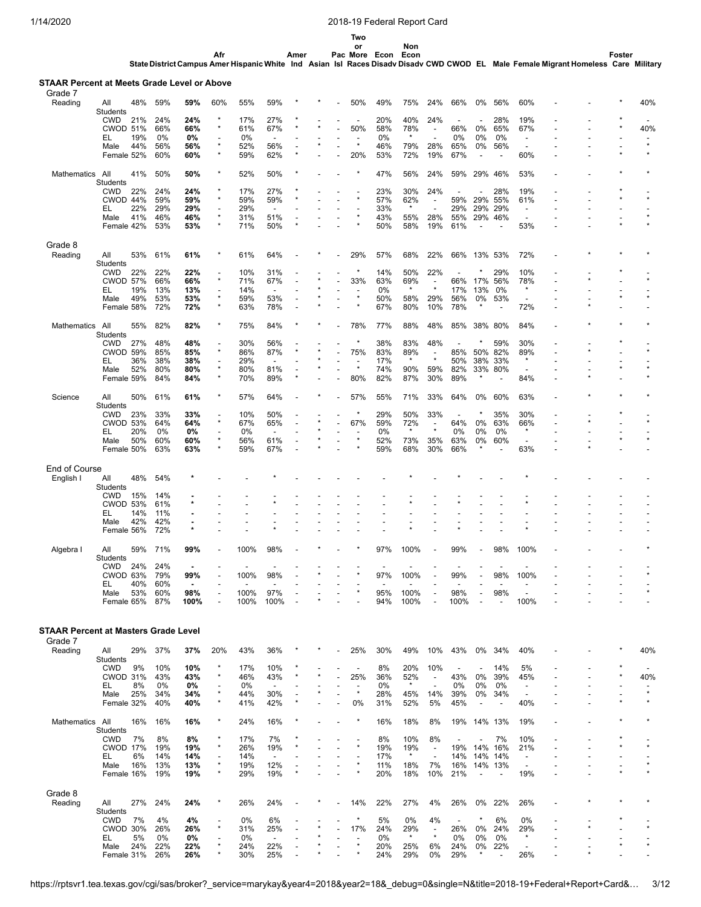**Two**

**State District Campus Afr Amer Hispanic White Amer Ind Asian Pac Isl** or<br>More Econ<br>Races Disadv **Non Econ Disadv CWD CWOD EL Male Female Migrant Homeless Foster Care Military**

| Grade 7<br>Reading                          |                               | 48%        | 59%        | 59%        | 60%                       | 55%        | 59%                             |  | 50%                                 | 49%        | 75%            | 24%                                                  | 66%                             | 0%                              | 56%                      | 60%                             |  | 40%     |
|---------------------------------------------|-------------------------------|------------|------------|------------|---------------------------|------------|---------------------------------|--|-------------------------------------|------------|----------------|------------------------------------------------------|---------------------------------|---------------------------------|--------------------------|---------------------------------|--|---------|
|                                             | All<br>Students               |            |            |            |                           |            |                                 |  |                                     |            |                |                                                      |                                 |                                 |                          |                                 |  |         |
|                                             | <b>CWD</b><br><b>CWOD 51%</b> | 21%        | 24%<br>66% | 24%<br>66% | ×<br>$\star$              | 17%<br>61% | 27%<br>67%                      |  | 50%                                 | 20%<br>58% | 40%<br>78%     | 24%                                                  | $\overline{\phantom{a}}$<br>66% | $\overline{\phantom{a}}$<br>0%  | 28%<br>65%               | 19%<br>67%                      |  | 40%     |
|                                             | EL                            | 19%        | 0%         | 0%         | $\overline{a}$            | 0%         | $\overline{a}$                  |  | ٠                                   | 0%         | $\star$        |                                                      | 0%                              | 0%                              | 0%                       | $\overline{\phantom{a}}$        |  |         |
|                                             | Male                          | 44%        | 56%        | 56%        | $\star$                   | 52%        | 56%                             |  | $\star$                             | 46%        | 79%            | 28%                                                  | 65%                             | 0%                              | 56%                      |                                 |  | $\star$ |
|                                             | Female 52%                    |            | 60%        | 60%        | $\star$                   | 59%        | 62%                             |  | 20%                                 | 53%        | 72%            | 19%                                                  | 67%                             | $\overline{\phantom{a}}$        |                          | 60%                             |  |         |
| Mathematics All                             |                               | 41%        | 50%        | 50%        | *                         | 52%        | 50%                             |  |                                     | 47%        | 56%            | 24%                                                  | 59%                             | 29%                             | 46%                      | 53%                             |  |         |
|                                             | Students<br><b>CWD</b>        | 22%        | 24%        | 24%        |                           | 17%        | 27%                             |  |                                     | 23%        | 30%            | 24%                                                  |                                 |                                 | 28%                      | 19%                             |  |         |
|                                             | CWOD 44%                      |            | 59%        | 59%        | ×                         | 59%        | 59%                             |  | $\star$                             | 57%        | 62%            | $\overline{\phantom{a}}$                             | 59%                             | 29%                             | 55%                      | 61%                             |  |         |
|                                             | EL                            | 22%        | 29%        | 29%        | ٠<br>$\star$              | 29%        | $\overline{\phantom{a}}$        |  | ÷,<br>$\star$                       | 33%        | $\star$        |                                                      | 29%                             | 29%                             | 29%                      | $\overline{\phantom{a}}$        |  |         |
|                                             | Male<br>Female 42%            | 41%        | 46%<br>53% | 46%<br>53% | $\star$                   | 31%<br>71% | 51%<br>50%                      |  |                                     | 43%<br>50% | 55%<br>58%     | 28%<br>19%                                           | 55%<br>61%                      | 29%<br>$\overline{\phantom{a}}$ | 46%                      | $\overline{a}$<br>53%           |  |         |
| Grade 8                                     |                               |            |            |            |                           |            |                                 |  |                                     |            |                |                                                      |                                 |                                 |                          |                                 |  |         |
| Reading                                     | All                           | 53%        | 61%        | 61%        |                           | 61%        | 64%                             |  | 29%                                 | 57%        | 68%            | 22%                                                  | 66%                             | 13% 53%                         |                          | 72%                             |  |         |
|                                             | Students                      |            |            |            |                           |            |                                 |  |                                     |            |                |                                                      |                                 |                                 |                          |                                 |  |         |
|                                             | <b>CWD</b>                    | 22%        | 22%        | 22%        | $\star$                   | 10%        | 31%                             |  | $\star$                             | 14%        | 50%            | 22%                                                  |                                 | $\star$                         | 29%                      | 10%                             |  |         |
|                                             | <b>CWOD 57%</b><br>EL         | 19%        | 66%<br>13% | 66%<br>13% | ٠                         | 71%<br>14% | 67%<br>$\overline{\phantom{a}}$ |  | 33%                                 | 63%<br>0%  | 69%<br>$\star$ | $\overline{\phantom{a}}$<br>$\star$                  | 66%<br>17%                      | 17%<br>13%                      | 56%<br>0%                | 78%                             |  |         |
|                                             | Male                          | 49%        | 53%        | 53%        | $\star$                   | 59%        | 53%                             |  | $\star$                             | 50%        | 58%            | 29%                                                  | 56%                             | 0%                              | 53%                      |                                 |  |         |
|                                             | Female 58%                    |            | 72%        | 72%        | $\star$                   | 63%        | 78%                             |  |                                     | 67%        | 80%            | 10%                                                  | 78%                             | $\star$                         |                          | 72%                             |  |         |
| Mathematics                                 | All                           | 55%        | 82%        | 82%        | $\star$                   | 75%        | 84%                             |  | 78%                                 | 77%        | 88%            | 48%                                                  | 85%                             | 38%                             | 80%                      | 84%                             |  |         |
|                                             | Students                      |            |            |            |                           |            |                                 |  |                                     |            |                |                                                      |                                 |                                 |                          |                                 |  |         |
|                                             | <b>CWD</b><br><b>CWOD 59%</b> | 27%        | 48%<br>85% | 48%<br>85% | ×                         | 30%<br>86% | 56%<br>87%                      |  | 75%                                 | 38%<br>83% | 83%<br>89%     | 48%<br>$\blacksquare$                                | 85%                             | 50%                             | 59%<br>82%               | 30%<br>89%                      |  |         |
|                                             | EL                            | 36%        | 38%        | 38%        | $\overline{a}$            | 29%        | $\overline{a}$                  |  | $\overline{\phantom{a}}$            | 17%        | $\star$        | $\star$                                              | 50%                             | 38%                             | 33%                      | $\star$                         |  |         |
|                                             | Male                          | 52%        | 80%        | 80%        | $\star$                   | 80%        | 81%                             |  | $\star$                             | 74%        | 90%            | 59%                                                  | 82%                             |                                 | 33% 80%                  |                                 |  |         |
|                                             | Female 59%                    |            | 84%        | 84%        | $\star$                   | 70%        | 89%                             |  | 80%                                 | 82%        | 87%            | 30%                                                  | 89%                             | $\ast$                          |                          | 84%                             |  |         |
| Science                                     | All                           | 50%        | 61%        | 61%        | ×                         | 57%        | 64%                             |  | 57%                                 | 55%        | 71%            | 33%                                                  | 64%                             | 0%                              | 60%                      | 63%                             |  |         |
|                                             | Students                      |            |            |            |                           |            |                                 |  | $\star$                             |            |                |                                                      |                                 | ×                               |                          |                                 |  |         |
|                                             | <b>CWD</b><br><b>CWOD 53%</b> | 23%        | 33%<br>64% | 33%<br>64% | $\star$                   | 10%<br>67% | 50%<br>65%                      |  | 67%                                 | 29%<br>59% | 50%<br>72%     | 33%<br>$\overline{\phantom{a}}$                      | $\overline{\phantom{a}}$<br>64% | 0%                              | 35%<br>63%               | 30%<br>66%                      |  |         |
|                                             | EL                            | 20%        | 0%         | 0%         |                           | 0%         | $\overline{\phantom{a}}$        |  |                                     | 0%         | $\star$        | $\star$                                              | 0%                              | 0%                              | 0%                       |                                 |  |         |
|                                             | Male                          | 50%        | 60%        | 60%        | $\star$<br>$\star$        | 56%        | 61%                             |  | $\star$                             | 52%        | 73%            | 35%                                                  | 63%                             | 0%<br>$\star$                   | 60%                      | $\overline{\phantom{a}}$        |  |         |
|                                             | Female 50%                    |            | 63%        | 63%        |                           | 59%        | 67%                             |  |                                     | 59%        | 68%            | 30%                                                  | 66%                             |                                 |                          | 63%                             |  |         |
| End of Course                               |                               |            |            |            |                           |            |                                 |  |                                     |            |                |                                                      |                                 |                                 |                          |                                 |  |         |
| English I                                   | All                           | 48%        | 54%        |            |                           |            |                                 |  |                                     |            |                |                                                      |                                 |                                 |                          |                                 |  |         |
|                                             | Students<br><b>CWD</b>        | 15%        | 14%        |            |                           |            |                                 |  |                                     |            |                |                                                      |                                 |                                 |                          |                                 |  |         |
|                                             | <b>CWOD 53%</b>               |            | 61%        |            |                           |            |                                 |  |                                     |            |                |                                                      |                                 |                                 |                          |                                 |  |         |
|                                             | EL                            | 14%        | 11%        |            |                           |            |                                 |  |                                     |            |                |                                                      |                                 |                                 |                          |                                 |  |         |
|                                             | Male<br>Female 56%            | 42%        | 42%<br>72% | ٠          |                           |            |                                 |  |                                     |            |                |                                                      |                                 |                                 |                          |                                 |  |         |
|                                             |                               |            |            |            |                           |            |                                 |  |                                     |            |                |                                                      |                                 |                                 |                          |                                 |  |         |
| Algebra I                                   | All<br>Students               | 59%        | 71%        | 99%        |                           | 100%       | 98%                             |  |                                     | 97%        | 100%           |                                                      | 99%                             |                                 | 98%                      | 100%                            |  |         |
|                                             | <b>CWD</b>                    | 24%        | 24%        |            |                           |            |                                 |  |                                     |            |                |                                                      |                                 |                                 |                          |                                 |  |         |
|                                             | CWOD 63%                      |            | 79%        | 99%        |                           | 100%       | 98%                             |  |                                     | 97%        | 100%           |                                                      | 99%                             |                                 | 98%                      | 100%                            |  |         |
|                                             | EL<br>Male                    | 40%<br>53% | 60%<br>60% | 98%        |                           | 100%       | 97%                             |  |                                     | 95%        | 100%           |                                                      | 98%                             |                                 | 98%                      |                                 |  |         |
|                                             | Female 65%                    |            | 87%        | 100%       |                           | 100%       | 100%                            |  |                                     | 94%        | 100%           |                                                      | 100%                            |                                 |                          | 100%                            |  |         |
|                                             |                               |            |            |            |                           |            |                                 |  |                                     |            |                |                                                      |                                 |                                 |                          |                                 |  |         |
| <b>STAAR Percent at Masters Grade Level</b> |                               |            |            |            |                           |            |                                 |  |                                     |            |                |                                                      |                                 |                                 |                          |                                 |  |         |
| Grade 7                                     | All                           | 29%        | 37%        | 37%        | 20%                       | 43%        | 36%                             |  | 25%                                 | 30%        | 49%            | 10%                                                  | 43%                             | 0%                              | 34%                      | 40%                             |  | 40%     |
| Reading                                     | Students                      |            |            |            |                           |            |                                 |  |                                     |            |                |                                                      |                                 |                                 |                          |                                 |  |         |
|                                             | <b>CWD</b>                    | 9%         | 10%        | 10%        | $\star$                   | 17%        | 10%                             |  | $\overline{\phantom{a}}$            | 8%         | 20%            | 10%                                                  |                                 | $\overline{\phantom{a}}$        | 14%                      | 5%                              |  |         |
|                                             | <b>CWOD 31%</b>               |            | 43%        | 43%        | $\star$                   | 46%        | 43%                             |  | 25%                                 | 36%        | 52%<br>$\star$ | $\overline{\phantom{a}}$                             | 43%                             | 0%                              | 39%                      | 45%                             |  | 40%     |
|                                             | EL<br>Male                    | 8%<br>25%  | 0%<br>34%  | 0%<br>34%  | $\overline{a}$<br>$\star$ | 0%<br>44%  | $\overline{\phantom{a}}$<br>30% |  | $\overline{\phantom{a}}$<br>$\star$ | 0%<br>28%  | 45%            | 14%                                                  | 0%<br>39%                       | 0%<br>0%                        | 0%<br>34%                | $\sim$                          |  | $\star$ |
|                                             | Female 32%                    |            | 40%        | 40%        | $\star$                   | 41%        | 42%                             |  | 0%                                  | 31%        | 52%            | 5%                                                   | 45%                             | $\overline{\phantom{a}}$        |                          | 40%                             |  |         |
| Mathematics All                             |                               | 16%        | 16%        | 16%        |                           | 24%        | 16%                             |  |                                     | 16%        | 18%            | 8%                                                   |                                 | 19% 14% 13%                     |                          | 19%                             |  |         |
|                                             | <b>Students</b>               |            |            |            |                           |            |                                 |  |                                     |            |                |                                                      |                                 |                                 |                          |                                 |  |         |
|                                             | <b>CWD</b>                    | 7%         | 8%         | 8%         | $\star$<br>$\star$        | 17%        | 7%                              |  |                                     | 8%         | 10%            | 8%                                                   | $\overline{\phantom{a}}$        |                                 | 7%                       | 10%                             |  |         |
|                                             | <b>CWOD 17%</b><br>EL         | 6%         | 19%<br>14% | 19%<br>14% |                           | 26%<br>14% | 19%<br>$\blacksquare$           |  |                                     | 19%<br>17% | 19%<br>$\star$ | $\overline{\phantom{a}}$<br>$\overline{\phantom{a}}$ | 19%<br>14%                      | 14% 16%<br>14%                  | 14%                      | 21%<br>$\overline{\phantom{a}}$ |  |         |
|                                             | Male                          | 16%        | 13%        | 13%        | $\star$                   | 19%        | 12%                             |  |                                     | 11%        | 18%            | 7%                                                   | 16%                             | 14% 13%                         |                          | $\overline{a}$                  |  |         |
|                                             | Female 16%                    |            | 19%        | 19%        | $\star$                   | 29%        | 19%                             |  |                                     | 20%        | 18%            | 10%                                                  | 21%                             | $\overline{a}$                  | $\overline{\phantom{a}}$ | 19%                             |  |         |
| Grade 8                                     |                               |            |            |            |                           |            |                                 |  |                                     |            |                |                                                      |                                 |                                 |                          |                                 |  |         |
| Reading                                     | All                           | 27%        | 24%        | 24%        | ×                         | 26%        | 24%                             |  | 14%                                 | 22%        | 27%            | 4%                                                   | 26%                             | 0%                              | 22%                      | 26%                             |  |         |
|                                             | <b>Students</b><br><b>CWD</b> | 7%         | 4%         | 4%         |                           | 0%         | 6%                              |  | ×                                   | 5%         | 0%             | 4%                                                   | $\overline{\phantom{a}}$        | $\ast$                          | 6%                       | 0%                              |  |         |
|                                             | CWOD 30%                      |            | 26%        | 26%        | $\star$                   | 31%        | 25%                             |  | 17%                                 | 24%        | 29%            | $\overline{\phantom{a}}$                             | 26%                             | 0%                              | 24%                      | 29%                             |  |         |
|                                             | EL                            | 5%         | 0%         | 0%         |                           | 0%         | $\overline{\phantom{a}}$        |  | $\overline{a}$                      | 0%         | $\star$        | $\star$                                              | 0%                              | 0%                              | 0%                       |                                 |  |         |
|                                             | Male<br>Female 31%            | 24%        | 22%        | 22%        |                           | 24%        | 22%<br>25%                      |  |                                     | 20%<br>24% | 25%<br>29%     | 6%<br>0%                                             | 24%<br>29%                      | 0%<br>$\star$                   | 22%                      | 26%                             |  |         |
|                                             |                               |            | 26%        | 26%        |                           | 30%        |                                 |  |                                     |            |                |                                                      |                                 |                                 | $\overline{\phantom{a}}$ |                                 |  |         |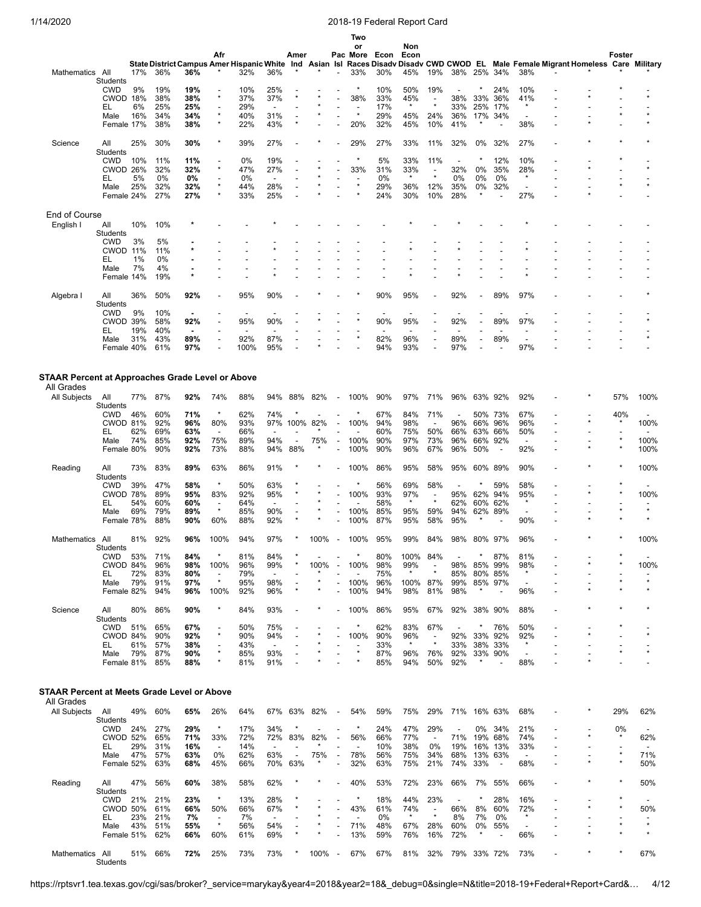|                                                  |                               |           |            |                          |                                     |                          |                                 |                          |         |                                                      | Two<br>or                       |            | Non                      |                                     |                          |              |                           |                                     |                                                                                                                                    |         |                                 |
|--------------------------------------------------|-------------------------------|-----------|------------|--------------------------|-------------------------------------|--------------------------|---------------------------------|--------------------------|---------|------------------------------------------------------|---------------------------------|------------|--------------------------|-------------------------------------|--------------------------|--------------|---------------------------|-------------------------------------|------------------------------------------------------------------------------------------------------------------------------------|---------|---------------------------------|
|                                                  |                               |           |            |                          | Afr                                 |                          |                                 | Amer                     |         |                                                      | Pac More                        | Econ       | Econ                     |                                     |                          |              |                           |                                     |                                                                                                                                    | Foster  |                                 |
|                                                  |                               |           |            |                          |                                     |                          |                                 |                          |         |                                                      |                                 |            |                          |                                     |                          |              |                           |                                     | State District Campus Amer Hispanic White Ind Asian Isl Races Disadv Disadv CWD CWOD EL Male Female Migrant Homeless Care Military |         |                                 |
| Mathematics All                                  | Students                      | 17%       | 36%        | 36%                      |                                     | 32%                      | 36%                             |                          |         |                                                      | 33%                             | 30%        | 45%                      | 19%                                 | 38% 25% 34%              |              |                           | 38%                                 |                                                                                                                                    |         |                                 |
|                                                  | <b>CWD</b>                    | 9%        | 19%        | 19%                      |                                     | 10%                      | 25%                             |                          |         |                                                      | $\star$                         | 10%        | 50%                      | 19%                                 |                          |              | 24%                       | 10%                                 |                                                                                                                                    |         |                                 |
|                                                  | CWOD 18%                      |           | 38%        | 38%                      | $\star$                             | 37%                      | 37%                             |                          |         |                                                      | 38%                             | 33%        | 45%                      |                                     | 38%                      | 33%          | 36%                       | 41%                                 |                                                                                                                                    |         |                                 |
|                                                  | EL<br>Male                    | 6%<br>16% | 25%<br>34% | 25%<br>34%               | $\overline{\phantom{a}}$<br>$\star$ | 29%<br>40%               | $\overline{a}$<br>31%           |                          |         | $\overline{\phantom{a}}$<br>$\overline{\phantom{a}}$ | $\star$                         | 17%<br>29% | $\star$<br>45%           | $\star$<br>24%                      | 33%<br>36%               | 25%<br>17%   | 17%<br>34%                | $\star$<br>$\overline{\phantom{a}}$ |                                                                                                                                    |         |                                 |
|                                                  | Female 17%                    |           | 38%        | 38%                      | $\star$                             | 22%                      | 43%                             | $\star$                  |         |                                                      | 20%                             | 32%        | 45%                      | 10%                                 | 41%                      | $\star$      |                           | 38%                                 |                                                                                                                                    |         |                                 |
|                                                  |                               |           |            |                          |                                     |                          |                                 |                          |         |                                                      |                                 |            |                          |                                     |                          |              |                           |                                     |                                                                                                                                    |         |                                 |
| Science                                          | All                           | 25%       | 30%        | 30%                      |                                     | 39%                      | 27%                             |                          |         |                                                      | 29%                             | 27%        | 33%                      | 11%                                 | 32%                      | 0%           | 32%                       | 27%                                 |                                                                                                                                    |         |                                 |
|                                                  | <b>Students</b><br><b>CWD</b> |           |            |                          |                                     | 0%                       | 19%                             |                          |         |                                                      |                                 | 5%         | 33%                      | 11%                                 |                          |              | 12%                       | 10%                                 |                                                                                                                                    |         |                                 |
|                                                  | <b>CWOD 26%</b>               | 10%       | 11%<br>32% | 11%<br>32%               | $\star$                             | 47%                      | 27%                             |                          |         |                                                      | 33%                             | 31%        | 33%                      | $\overline{\phantom{a}}$            | ÷<br>32%                 | 0%           | 35%                       | 28%                                 |                                                                                                                                    |         |                                 |
|                                                  | EL                            | 5%        | 0%         | 0%                       |                                     | 0%                       | $\overline{\phantom{a}}$        |                          |         |                                                      |                                 | 0%         | $\star$                  | $\star$                             | 0%                       | 0%           | $0\%$                     | $\star$                             |                                                                                                                                    |         |                                 |
|                                                  | Male                          | 25%       | 32%        | 32%                      |                                     | 44%                      | 28%                             |                          |         |                                                      | $\star$                         | 29%        | 36%                      | 12%                                 | 35%                      | 0%           | 32%                       |                                     |                                                                                                                                    |         |                                 |
|                                                  | Female 24%                    |           | 27%        | 27%                      |                                     | 33%                      | 25%                             |                          |         |                                                      |                                 | 24%        | 30%                      | 10%                                 | 28%                      |              |                           | 27%                                 |                                                                                                                                    |         |                                 |
| End of Course                                    |                               |           |            |                          |                                     |                          |                                 |                          |         |                                                      |                                 |            |                          |                                     |                          |              |                           |                                     |                                                                                                                                    |         |                                 |
| English I                                        | All                           | 10%       | 10%        |                          |                                     |                          |                                 |                          |         |                                                      |                                 |            |                          |                                     |                          |              |                           |                                     |                                                                                                                                    |         |                                 |
|                                                  | Students                      |           |            |                          |                                     |                          |                                 |                          |         |                                                      |                                 |            |                          |                                     |                          |              |                           |                                     |                                                                                                                                    |         |                                 |
|                                                  | <b>CWD</b>                    | 3%        | 5%         |                          |                                     |                          |                                 |                          |         |                                                      |                                 |            |                          |                                     |                          |              |                           |                                     |                                                                                                                                    |         |                                 |
|                                                  | CWOD 11%<br>EL                | 1%        | 11%<br>0%  |                          |                                     |                          |                                 |                          |         |                                                      |                                 |            |                          |                                     |                          |              |                           |                                     |                                                                                                                                    |         |                                 |
|                                                  | Male                          | 7%        | 4%         | ٠                        |                                     |                          |                                 |                          |         |                                                      |                                 |            |                          |                                     |                          |              |                           |                                     |                                                                                                                                    |         |                                 |
|                                                  | Female 14%                    |           | 19%        | $\star$                  |                                     |                          |                                 |                          |         |                                                      |                                 |            |                          |                                     |                          |              |                           |                                     |                                                                                                                                    |         |                                 |
|                                                  |                               |           |            |                          |                                     |                          |                                 |                          |         |                                                      |                                 |            |                          |                                     |                          |              |                           |                                     |                                                                                                                                    |         |                                 |
| Algebra I                                        | All<br>Students               | 36%       | 50%        | 92%                      |                                     | 95%                      | 90%                             |                          |         |                                                      |                                 | 90%        | 95%                      |                                     | 92%                      |              | 89%                       | 97%                                 |                                                                                                                                    |         |                                 |
|                                                  | <b>CWD</b>                    | 9%        | 10%        | $\blacksquare$           |                                     | $\overline{\phantom{a}}$ |                                 |                          |         |                                                      |                                 | ٠          | $\overline{\phantom{0}}$ |                                     | $\overline{\phantom{a}}$ |              |                           | $\overline{\phantom{0}}$            |                                                                                                                                    |         |                                 |
|                                                  | <b>CWOD 39%</b>               |           | 58%        | 92%                      |                                     | 95%                      | 90%                             |                          |         |                                                      |                                 | 90%        | 95%                      |                                     | 92%                      |              | 89%                       | 97%                                 |                                                                                                                                    |         |                                 |
|                                                  | EL                            | 19%       | 40%        | $\overline{\phantom{a}}$ |                                     | $\overline{\phantom{a}}$ | $\overline{\phantom{a}}$        |                          |         |                                                      |                                 |            | ۰                        |                                     |                          |              |                           |                                     |                                                                                                                                    |         |                                 |
|                                                  | Male<br>Female 40%            | 31%       | 43%<br>61% | 89%<br>97%               | $\overline{\phantom{a}}$            | 92%<br>100%              | 87%<br>95%                      |                          |         |                                                      |                                 | 82%<br>94% | 96%<br>93%               |                                     | 89%<br>97%               |              | 89%                       | $\overline{\phantom{a}}$<br>97%     |                                                                                                                                    |         |                                 |
|                                                  |                               |           |            |                          |                                     |                          |                                 |                          |         |                                                      |                                 |            |                          |                                     |                          |              |                           |                                     |                                                                                                                                    |         |                                 |
|                                                  |                               |           |            |                          |                                     |                          |                                 |                          |         |                                                      |                                 |            |                          |                                     |                          |              |                           |                                     |                                                                                                                                    |         |                                 |
| STAAR Percent at Approaches Grade Level or Above |                               |           |            |                          |                                     |                          |                                 |                          |         |                                                      |                                 |            |                          |                                     |                          |              |                           |                                     |                                                                                                                                    |         |                                 |
| All Grades                                       |                               |           |            |                          |                                     |                          |                                 |                          |         |                                                      |                                 |            |                          |                                     |                          |              |                           |                                     |                                                                                                                                    |         |                                 |
| All Subjects                                     | All                           | 77%       | 87%        | 92%                      | 74%                                 | 88%                      | 94%                             | 88%                      | 82%     | $\overline{\phantom{a}}$                             | 100%                            | 90%        | 97%                      | 71%                                 | 96%                      | 63% 92%      |                           | 92%                                 |                                                                                                                                    | 57%     | 100%                            |
|                                                  | Students<br><b>CWD</b>        | 46%       | 60%        | 71%                      | $\star$                             | 62%                      | 74%                             |                          |         |                                                      |                                 | 67%        | 84%                      | 71%                                 |                          |              | 50% 73%                   | 67%                                 |                                                                                                                                    | 40%     |                                 |
|                                                  | <b>CWOD 81%</b>               |           | 92%        | 96%                      | 80%                                 | 93%                      | 97%                             | 100%                     | 82%     |                                                      | 100%                            | 94%        | 98%                      | $\overline{\phantom{a}}$            | 96%                      | 66%          | 96%                       | 96%                                 |                                                                                                                                    |         | 100%                            |
|                                                  | EL                            | 62%       | 69%        | 63%                      | $\overline{\phantom{a}}$            | 66%                      |                                 |                          |         |                                                      |                                 | 60%        | 75%                      | 50%                                 | 66%                      | 63%          | 66%                       | 50%                                 |                                                                                                                                    |         |                                 |
|                                                  | Male                          | 74%       | 85%        | 92%                      | 75%                                 | 89%                      | 94%                             |                          | 75%     |                                                      | 100%                            | 90%        | 97%                      | 73%                                 | 96%                      |              | 66% 92%                   | $\overline{\phantom{a}}$            |                                                                                                                                    |         | 100%                            |
|                                                  | Female 80%                    |           | 90%        | 92%                      | 73%                                 | 88%                      | 94%                             | 88%                      |         |                                                      | 100%                            | 90%        | 96%                      | 67%                                 | 96%                      | 50%          | $\overline{\phantom{a}}$  | 92%                                 |                                                                                                                                    |         | 100%                            |
| Reading                                          | All                           | 73%       | 83%        | 89%                      | 63%                                 | 86%                      | 91%                             |                          |         |                                                      | 100%                            | 86%        | 95%                      | 58%                                 | 95%                      | 60%          | 89%                       | 90%                                 |                                                                                                                                    |         | 100%                            |
|                                                  | Students                      |           |            |                          |                                     |                          |                                 |                          |         |                                                      |                                 |            |                          |                                     |                          |              |                           |                                     |                                                                                                                                    |         |                                 |
|                                                  | <b>CWD</b>                    | 39%       | 47%        | 58%                      | $\star$                             | 50%                      | 63%                             |                          |         |                                                      |                                 | 56%        | 69%                      | 58%                                 |                          |              | 59%                       | 58%                                 |                                                                                                                                    |         |                                 |
|                                                  | CWOD 78%                      | 54%       | 89%<br>60% | 95%<br>60%               | 83%                                 | 92%<br>64%               | 95%<br>$\overline{\phantom{a}}$ |                          |         |                                                      | 100%                            | 93%<br>58% | 97%<br>$\star$           | $\overline{\phantom{a}}$<br>$\star$ | 95%<br>62%               | 62%<br>60%   | 94%<br>62%                | 95%<br>$\star$                      |                                                                                                                                    |         | 100%                            |
|                                                  | EL<br>Male                    | 69%       | 79%        | 89%                      | $\star$                             | 85%                      | 90%                             | ÷                        |         |                                                      | 100%                            | 85%        | 95%                      | 59%                                 | 94%                      |              | 62% 89%                   | $\overline{\phantom{a}}$            |                                                                                                                                    |         | $\star$                         |
|                                                  | Female 78%                    |           | 88%        | 90%                      | 60%                                 | 88%                      | 92%                             |                          |         |                                                      | 100%                            | 87%        | 95%                      | 58%                                 | 95%                      |              |                           | 90%                                 |                                                                                                                                    |         |                                 |
|                                                  |                               |           |            |                          |                                     |                          |                                 |                          |         |                                                      |                                 |            |                          |                                     |                          |              |                           |                                     |                                                                                                                                    |         |                                 |
| Mathematics All                                  | Students                      | 81%       | 92%        | 96%                      | 100%                                | 94%                      | 97%                             |                          | 100%    | $\overline{\phantom{a}}$                             | 100%                            | 95%        | 99%                      | 84%                                 | 98%                      | 80% 97%      |                           | 96%                                 |                                                                                                                                    |         | 100%                            |
|                                                  | <b>CWD</b>                    | 53%       | 71%        | 84%                      | $\star$                             | 81%                      | 84%                             |                          |         |                                                      | *                               | 80%        | 100%                     | 84%                                 |                          |              | 87%                       | 81%                                 |                                                                                                                                    |         |                                 |
|                                                  | CWOD 84%                      |           | 96%        | 98%                      | 100%                                | 96%                      | 99%                             |                          | 100%    |                                                      | 100%                            | 98%        | 99%                      |                                     | 98%                      | 85%          | 99%                       | 98%                                 |                                                                                                                                    |         | 100%                            |
|                                                  | EL                            | 72%       | 83%        | 80%                      | $\overline{\phantom{a}}$            | 79%                      | $\overline{\phantom{a}}$        |                          |         |                                                      |                                 | 75%        | $\star$                  |                                     | 85%                      |              | 80% 85%                   | $\star$                             |                                                                                                                                    |         | $\star$                         |
|                                                  | Male                          | 79%       | 91%<br>94% | 97%                      | $\star$                             | 95%                      | 98%                             |                          | ×       |                                                      | 100%                            | 96%        | 100%                     | 87%                                 | 99%                      | $\star$      | 85% 97%<br>$\blacksquare$ | $\overline{\phantom{a}}$            |                                                                                                                                    |         |                                 |
|                                                  | Female 82%                    |           |            | 96%                      | 100%                                | 92%                      | 96%                             |                          |         |                                                      | 100%                            | 94%        | 98%                      | 81%                                 | 98%                      |              |                           | 96%                                 |                                                                                                                                    |         |                                 |
| Science                                          | All                           | 80%       | 86%        | 90%                      | $\star$                             | 84%                      | 93%                             |                          |         |                                                      | 100%                            | 86%        | 95%                      | 67%                                 | 92%                      | 38% 90%      |                           | 88%                                 |                                                                                                                                    |         |                                 |
|                                                  | Students                      |           |            |                          |                                     |                          |                                 |                          |         |                                                      |                                 |            |                          |                                     |                          |              |                           |                                     |                                                                                                                                    |         |                                 |
|                                                  | <b>CWD</b><br>CWOD 84%        | 51%       | 65%<br>90% | 67%<br>92%               | $\star$                             | 50%<br>90%               | 75%<br>94%                      |                          |         |                                                      | $\ast$<br>100%                  | 62%<br>90% | 83%<br>96%               | 67%<br>$\overline{a}$               | 92%                      | *<br>33% 92% | 76%                       | 50%<br>92%                          |                                                                                                                                    |         | $\star$                         |
|                                                  | EL                            | 61%       | 57%        | 38%                      | $\overline{\phantom{a}}$            | 43%                      | $\overline{\phantom{a}}$        |                          |         |                                                      |                                 | 33%        | $\star$                  | $\star$                             | 33%                      | 38%          | 33%                       | $\star$                             |                                                                                                                                    |         |                                 |
|                                                  | Male                          | 79%       | 87%        | 90%                      | $\star$                             | 85%                      | 93%                             |                          |         |                                                      | $\star$                         | 87%        | 96%                      | 76%                                 | 92%                      |              | 33% 90%                   | $\overline{\phantom{a}}$            |                                                                                                                                    |         | $\star$                         |
|                                                  | Female 81%                    |           | 85%        | 88%                      |                                     | 81%                      | 91%                             |                          |         |                                                      |                                 | 85%        | 94%                      | 50%                                 | 92%                      |              |                           | 88%                                 |                                                                                                                                    |         |                                 |
|                                                  |                               |           |            |                          |                                     |                          |                                 |                          |         |                                                      |                                 |            |                          |                                     |                          |              |                           |                                     |                                                                                                                                    |         |                                 |
| STAAR Percent at Meets Grade Level or Above      |                               |           |            |                          |                                     |                          |                                 |                          |         |                                                      |                                 |            |                          |                                     |                          |              |                           |                                     |                                                                                                                                    |         |                                 |
| All Grades                                       |                               |           |            |                          |                                     |                          |                                 |                          |         |                                                      |                                 |            |                          |                                     |                          |              |                           |                                     |                                                                                                                                    |         |                                 |
| All Subjects                                     | All                           | 49%       | 60%        | 65%                      | 26%                                 | 64%                      | 67%                             | 63%                      | 82%     | $\overline{\phantom{a}}$                             | 54%                             | 59%        | 75%                      | 29%                                 | 71%                      | 16% 63%      |                           | 68%                                 |                                                                                                                                    | 29%     | 62%                             |
|                                                  | Students                      |           |            |                          |                                     |                          |                                 |                          |         |                                                      |                                 |            |                          |                                     |                          |              |                           |                                     |                                                                                                                                    |         |                                 |
|                                                  | <b>CWD</b>                    | 24%       | 27%        | 29%                      | $\star$                             | 17%                      | 34%                             |                          |         |                                                      |                                 | 24%        | 47%                      | 29%                                 | $\overline{\phantom{a}}$ | 0%           | 34%                       | 21%                                 |                                                                                                                                    | 0%      |                                 |
|                                                  | <b>CWOD 52%</b><br>EL         | 29%       | 65%<br>31% | 71%<br>16%               | 33%<br>$\overline{\phantom{a}}$     | 72%<br>14%               | 72%<br>$\overline{\phantom{a}}$ | 83%                      | 82%     | $\overline{\phantom{a}}$                             | 56%<br>$\overline{\phantom{a}}$ | 66%<br>10% | 77%<br>38%               | $\overline{\phantom{a}}$<br>0%      | 71%<br>19%               | 19%<br>16%   | 68%<br>13%                | 74%<br>33%                          |                                                                                                                                    |         | 62%<br>$\overline{\phantom{a}}$ |
|                                                  | Male                          | 47%       | 57%        | 63%                      | 0%                                  | 62%                      | 63%                             | $\overline{\phantom{a}}$ | 75%     | $\overline{\phantom{a}}$                             | 78%                             | 56%        | 75%                      | 34%                                 | 68%                      | 13% 63%      |                           | $\overline{\phantom{a}}$            |                                                                                                                                    |         | 71%                             |
|                                                  | Female 52%                    |           | 63%        | 68%                      | 45%                                 | 66%                      | 70%                             | 63%                      | $\star$ |                                                      | 32%                             | 63%        | 75%                      | 21%                                 | 74%                      | 33%          | $\overline{\phantom{a}}$  | 68%                                 |                                                                                                                                    | $\star$ | 50%                             |
|                                                  |                               |           |            |                          |                                     |                          |                                 |                          |         |                                                      |                                 |            |                          |                                     |                          |              |                           |                                     |                                                                                                                                    |         |                                 |
| Reading                                          | All<br>Students               | 47%       | 56%        | 60%                      | 38%                                 | 58%                      | 62%                             |                          |         |                                                      | 40%                             | 53%        | 72%                      | 23%                                 | 66%                      | 7%           | 55%                       | 66%                                 |                                                                                                                                    |         | 50%                             |
|                                                  | <b>CWD</b>                    | 21%       | 21%        | 23%                      | $\star$                             | 13%                      | 28%                             |                          |         |                                                      |                                 | 18%        | 44%                      | 23%                                 | $\overline{\phantom{a}}$ |              | 28%                       | 16%                                 |                                                                                                                                    |         |                                 |
|                                                  | CWOD 50%                      |           | 61%        | 66%                      | 50%                                 | 66%                      | 67%                             |                          |         |                                                      | 43%                             | 61%        | 74%                      | $\overline{\phantom{a}}$            | 66%                      | 8%           | 60%                       | 72%                                 |                                                                                                                                    |         | 50%                             |
|                                                  | EL.                           | 23%       | 21%        | 7%                       | $\blacksquare$<br>$\star$           | 7%                       | $\overline{\phantom{a}}$        |                          |         |                                                      |                                 | 0%         | $\star$                  | $\star$                             | 8%                       | 7%           | 0%                        | $\star$                             |                                                                                                                                    |         | $\star$                         |
|                                                  | Male<br>Female 51%            | 43%       | 51%<br>62% | 55%<br>66%               | 60%                                 | 56%<br>61%               | 54%<br>69%                      |                          |         |                                                      | 71%<br>13%                      | 48%<br>59% | 67%<br>76%               | 28%<br>16%                          | 60%<br>72%               | 0%           | 55%                       | $\overline{\phantom{a}}$<br>66%     |                                                                                                                                    |         |                                 |
|                                                  |                               |           |            |                          |                                     |                          |                                 |                          |         |                                                      |                                 |            |                          |                                     |                          |              |                           |                                     |                                                                                                                                    |         |                                 |
| Mathematics All                                  |                               | 51%       | 66%        | 72%                      | 25%                                 | 73%                      | 73%                             |                          | 100%    | $\overline{\phantom{a}}$                             | 67%                             | 67%        | 81%                      | 32%                                 | 79%                      |              | 33% 72%                   | 73%                                 |                                                                                                                                    |         | 67%                             |
|                                                  | Students                      |           |            |                          |                                     |                          |                                 |                          |         |                                                      |                                 |            |                          |                                     |                          |              |                           |                                     |                                                                                                                                    |         |                                 |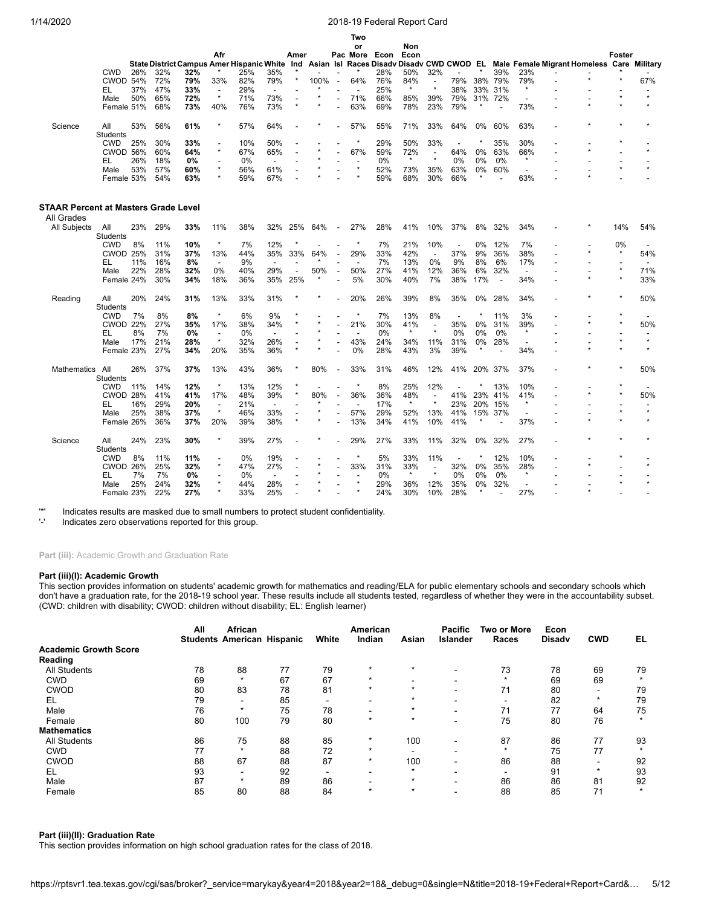|                                                    |                 |     |     |                                               |                                     |     |                          |                          |           |                          | Two                      |      |                                 |                                     |                          |         |         |                                            |  |        |         |
|----------------------------------------------------|-----------------|-----|-----|-----------------------------------------------|-------------------------------------|-----|--------------------------|--------------------------|-----------|--------------------------|--------------------------|------|---------------------------------|-------------------------------------|--------------------------|---------|---------|--------------------------------------------|--|--------|---------|
|                                                    |                 |     |     |                                               |                                     |     |                          |                          |           |                          | or                       |      | Non                             |                                     |                          |         |         |                                            |  |        |         |
|                                                    |                 |     |     |                                               | Afr                                 |     |                          | Amer                     |           |                          | Pac More                 | Econ | Econ                            |                                     |                          |         |         |                                            |  | Foster |         |
|                                                    |                 |     |     | State District Campus Amer Hispanic White Ind |                                     |     |                          |                          | Asian Isl |                          |                          |      | Races Disady Disady CWD CWOD EL |                                     |                          |         |         | Male Female Migrant Homeless Care Military |  |        |         |
|                                                    | <b>CWD</b>      | 26% | 32% | 32%                                           |                                     | 25% | 35%                      |                          |           |                          |                          | 28%  | 50%                             | 32%                                 |                          |         | 39%     | 23%                                        |  |        |         |
|                                                    | <b>CWOD 54%</b> |     | 72% | 79%                                           | 33%                                 | 82% | 79%                      |                          | 100%      | $\overline{\phantom{a}}$ | 64%                      | 76%  | 84%<br>$\star$                  | $\overline{\phantom{a}}$<br>$\star$ | 79%                      | 38%     | 79%     | 79%<br>$\star$                             |  |        | 67%     |
|                                                    | EL              | 37% | 47% | 33%                                           | $\overline{\phantom{a}}$<br>$\star$ | 29% | $\overline{\phantom{a}}$ |                          |           |                          | $\overline{\phantom{a}}$ | 25%  |                                 |                                     | 38%                      | 33%     | 31%     |                                            |  |        | $\star$ |
|                                                    | Male            | 50% | 65% | 72%                                           |                                     | 71% | 73%                      |                          |           |                          | 71%                      | 66%  | 85%                             | 39%                                 | 79%                      |         | 31% 72% |                                            |  |        |         |
|                                                    | Female 51%      |     | 68% | 73%                                           | 40%                                 | 76% | 73%                      |                          |           |                          | 63%                      | 69%  | 78%                             | 23%                                 | 79%                      |         |         | 73%                                        |  |        |         |
| Science                                            | All             | 53% | 56% | 61%                                           | $\star$                             | 57% | 64%                      |                          |           |                          | 57%                      | 55%  | 71%                             | 33%                                 | 64%                      | 0%      | 60%     | 63%                                        |  |        |         |
|                                                    | <b>Students</b> |     |     |                                               |                                     |     |                          |                          |           |                          |                          |      |                                 |                                     |                          |         |         |                                            |  |        |         |
|                                                    | <b>CWD</b>      | 25% | 30% | 33%                                           |                                     | 10% | 50%                      |                          |           |                          | $\star$                  | 29%  | 50%                             | 33%                                 |                          |         | 35%     | 30%                                        |  |        |         |
|                                                    | CWOD 56%        |     | 60% | 64%                                           | $\star$                             | 67% | 65%                      |                          |           |                          | 67%                      | 59%  | 72%                             |                                     | 64%                      | 0%      | 63%     | 66%                                        |  |        | $\star$ |
|                                                    | EL              | 26% | 18% | 0%                                            |                                     | 0%  | $\overline{\phantom{a}}$ |                          |           |                          |                          | 0%   | $\star$                         | $\star$                             | 0%                       | 0%      | 0%      | $\star$                                    |  |        |         |
|                                                    | Male            | 53% | 57% | 60%                                           | $\star$                             | 56% | 61%                      |                          |           |                          | $\star$                  | 52%  | 73%                             | 35%                                 | 63%                      | 0%      | 60%     | $\overline{\phantom{a}}$                   |  |        |         |
|                                                    | Female 53%      |     | 54% | 63%                                           |                                     | 59% | 67%                      |                          |           |                          |                          | 59%  | 68%                             | 30%                                 | 66%                      |         |         | 63%                                        |  |        |         |
|                                                    |                 |     |     |                                               |                                     |     |                          |                          |           |                          |                          |      |                                 |                                     |                          |         |         |                                            |  |        |         |
| STAAR Percent at Masters Grade Level<br>All Grades |                 |     |     |                                               |                                     |     |                          |                          |           |                          |                          |      |                                 |                                     |                          |         |         |                                            |  |        |         |
|                                                    |                 |     | 29% |                                               |                                     |     |                          |                          |           |                          |                          | 28%  | 41%                             |                                     |                          | 8%      | 32%     |                                            |  | 14%    | 54%     |
| All Subjects                                       | All<br>Students | 23% |     | 33%                                           | 11%                                 | 38% | 32%                      | 25%                      | 64%       | $\overline{\phantom{a}}$ | 27%                      |      |                                 | 10%                                 | 37%                      |         |         | 34%                                        |  |        |         |
|                                                    | <b>CWD</b>      | 8%  | 11% | 10%                                           | $\star$                             | 7%  | 12%                      |                          |           |                          | $\star$                  | 7%   | 21%                             | 10%                                 | $\overline{\phantom{a}}$ | 0%      | 12%     | 7%                                         |  | 0%     |         |
|                                                    | <b>CWOD 25%</b> |     | 31% | 37%                                           | 13%                                 | 44% | 35%                      | 33%                      | 64%       |                          | 29%                      | 33%  | 42%                             | $\overline{a}$                      | 37%                      | 9%      | 36%     | 38%                                        |  |        | 54%     |
|                                                    | EL              | 11% | 16% | 8%                                            | $\overline{a}$                      | 9%  |                          |                          |           |                          |                          | 7%   | 13%                             | 0%                                  | 9%                       | 8%      | 6%      | 17%                                        |  |        |         |
|                                                    | Male            | 22% | 28% | 32%                                           | 0%                                  | 40% | 29%                      | $\overline{\phantom{a}}$ | 50%       |                          | 50%                      | 27%  | 41%                             | 12%                                 | 36%                      | 6%      | 32%     | $\blacksquare$                             |  |        | 71%     |
|                                                    | Female 24%      |     | 30% | 34%                                           | 18%                                 | 36% | 35%                      | 25%                      |           |                          | 5%                       | 30%  | 40%                             | 7%                                  | 38%                      | 17%     |         | 34%                                        |  |        | 33%     |
| Reading                                            | All             | 20% | 24% | 31%                                           | 13%                                 | 33% | 31%                      |                          |           |                          | 20%                      | 26%  | 39%                             | 8%                                  | 35%                      | 0%      | 28%     | 34%                                        |  |        | 50%     |
|                                                    | Students        |     |     |                                               |                                     |     |                          |                          |           |                          |                          |      |                                 |                                     |                          |         |         |                                            |  |        |         |
|                                                    | <b>CWD</b>      | 7%  | 8%  | 8%                                            | $\star$                             | 6%  | 9%                       |                          |           |                          |                          | 7%   | 13%                             | 8%                                  | $\overline{\phantom{a}}$ |         | 11%     | 3%                                         |  |        |         |
|                                                    | <b>CWOD 22%</b> |     | 27% | 35%                                           | 17%                                 | 38% | 34%                      |                          | ÷         |                          | 21%                      | 30%  | 41%                             | $\overline{\phantom{a}}$            | 35%                      | 0%      | 31%     | 39%                                        |  |        | 50%     |
|                                                    | EL              | 8%  | 7%  | 0%                                            | $\overline{\phantom{a}}$            | 0%  | $\blacksquare$           |                          |           |                          |                          | 0%   | $\star$                         | $\star$                             | 0%                       | 0%      | 0%      | $\star$                                    |  |        |         |
|                                                    | Male            | 17% | 21% | 28%                                           | $\star$                             | 32% | 26%                      |                          |           |                          | 43%                      | 24%  | 34%                             | 11%                                 | 31%                      | 0%      | 28%     | $\overline{\phantom{a}}$                   |  |        | $\star$ |
|                                                    | Female 23%      |     | 27% | 34%                                           | 20%                                 | 35% | 36%                      |                          |           |                          | 0%                       | 28%  | 43%                             | 3%                                  | 39%                      | $\star$ |         | 34%                                        |  |        |         |
| Mathematics                                        | All             | 26% | 37% | 37%                                           | 13%                                 | 43% | 36%                      |                          | 80%       | $\overline{\phantom{a}}$ | 33%                      | 31%  | 46%                             | 12%                                 | 41%                      | 20%     | 37%     | 37%                                        |  |        | 50%     |
|                                                    | Students        |     |     |                                               |                                     |     |                          |                          |           |                          |                          |      |                                 |                                     |                          |         |         |                                            |  |        |         |
|                                                    | <b>CWD</b>      | 11% | 14% | 12%                                           | $\star$                             | 13% | 12%                      |                          |           |                          | $\star$                  | 8%   | 25%                             | 12%                                 |                          |         | 13%     | 10%                                        |  |        |         |
|                                                    | CWOD 28%        |     | 41% | 41%                                           | 17%                                 | 48% | 39%                      |                          | 80%       |                          | 36%                      | 36%  | 48%                             |                                     | 41%                      | 23%     | 41%     | 41%                                        |  |        | 50%     |
|                                                    | EL              | 16% | 29% | 20%                                           | $\overline{\phantom{a}}$            | 21% | $\blacksquare$           |                          |           |                          | $\overline{a}$           | 17%  | $\star$                         | $\star$                             | 23%                      | 20%     | 15%     | $\star$                                    |  |        |         |
|                                                    | Male            | 25% | 38% | 37%                                           | $\star$                             | 46% | 33%                      |                          |           |                          | 57%                      | 29%  | 52%                             | 13%                                 | 41%                      |         | 15% 37% | $\blacksquare$                             |  |        | $\star$ |
|                                                    | Female 26%      |     | 36% | 37%                                           | 20%                                 | 39% | 38%                      |                          |           |                          | 13%                      | 34%  | 41%                             | 10%                                 | 41%                      |         |         | 37%                                        |  |        |         |
| Science                                            | All             | 24% | 23% | 30%                                           | $\star$                             | 39% | 27%                      |                          |           |                          | 29%                      | 27%  | 33%                             | 11%                                 | 32%                      | 0%      | 32%     | 27%                                        |  |        |         |
|                                                    | Students        |     |     |                                               |                                     |     |                          |                          |           |                          |                          |      |                                 |                                     |                          |         |         |                                            |  |        |         |
|                                                    | <b>CWD</b>      | 8%  | 11% | 11%                                           |                                     | 0%  | 19%                      |                          |           |                          |                          | 5%   | 33%                             | 11%                                 | $\overline{\phantom{a}}$ |         | 12%     | 10%                                        |  |        |         |
|                                                    | CWOD 26%        |     | 25% | 32%                                           | $\star$                             | 47% | 27%                      |                          |           |                          | 33%                      | 31%  | 33%                             | $\overline{\phantom{a}}$            | 32%                      | 0%      | 35%     | 28%                                        |  |        | $\star$ |
|                                                    | EL              | 7%  | 7%  | 0%                                            |                                     | 0%  | $\overline{\phantom{a}}$ |                          |           |                          |                          | 0%   | $\star$                         | $\star$                             | 0%                       | 0%      | 0%      | $\star$                                    |  |        |         |
|                                                    | Male            | 25% | 24% | 32%                                           |                                     | 44% | 28%                      |                          |           |                          | $\star$                  | 29%  | 36%                             | 12%                                 | 35%                      | 0%      | 32%     |                                            |  |        | $\star$ |
|                                                    | Female 23%      |     | 22% | 27%                                           | ÷                                   | 33% | 25%                      |                          |           |                          |                          | 24%  | 30%                             | 10%                                 | 28%                      |         |         | 27%                                        |  |        |         |

'\*' Indicates results are masked due to small numbers to protect student confidentiality.

Indicates zero observations reported for this group.

Part (iii): Academic Growth and Graduation Rate

## **Part (iii)(I): Academic Growth**

This section provides information on students' academic growth for mathematics and reading/ELA for public elementary schools and secondary schools which don't have a graduation rate, for the 2018-19 school year. These results include all students tested, regardless of whether they were in the accountability subset. (CWD: children with disability; CWOD: children without disability; EL: English learner)

|                              | All | African<br><b>Students American Hispanic</b> |    | White                    | American<br>Indian       | Asian   | <b>Pacific</b><br><b>Islander</b> | <b>Two or More</b><br>Races | Econ<br><b>Disady</b> | <b>CWD</b> | EL      |
|------------------------------|-----|----------------------------------------------|----|--------------------------|--------------------------|---------|-----------------------------------|-----------------------------|-----------------------|------------|---------|
| <b>Academic Growth Score</b> |     |                                              |    |                          |                          |         |                                   |                             |                       |            |         |
| Reading                      |     |                                              |    |                          |                          |         |                                   |                             |                       |            |         |
| <b>All Students</b>          | 78  | 88                                           | 77 | 79                       | $\star$                  | $\star$ | $\overline{\phantom{0}}$          | 73                          | 78                    | 69         | 79      |
| <b>CWD</b>                   | 69  | $\star$                                      | 67 | 67                       | $\star$                  |         |                                   | $\star$                     | 69                    | 69         | $\star$ |
| <b>CWOD</b>                  | 80  | 83                                           | 78 | 81                       | $\star$                  | $\star$ |                                   | 71                          | 80                    | -          | 79      |
| EL                           | 79  | ۰.                                           | 85 | -                        | $\overline{\phantom{0}}$ |         |                                   | $\overline{\phantom{0}}$    | 82                    | $\star$    | 79      |
| Male                         | 76  | $\star$                                      | 75 | 78                       |                          | $\star$ |                                   | 71                          | 77                    | 64         | 75      |
| Female                       | 80  | 100                                          | 79 | 80                       | $\star$                  | $\star$ | $\overline{\phantom{0}}$          | 75                          | 80                    | 76         | $\star$ |
| <b>Mathematics</b>           |     |                                              |    |                          |                          |         |                                   |                             |                       |            |         |
| <b>All Students</b>          | 86  | 75                                           | 88 | 85                       | $\star$                  | 100     |                                   | 87                          | 86                    | 77         | 93      |
| <b>CWD</b>                   | 77  | $\star$                                      | 88 | 72                       | $\star$                  |         | $\overline{\phantom{0}}$          | $\ddot{\phantom{1}}$        | 75                    | 77         |         |
| <b>CWOD</b>                  | 88  | 67                                           | 88 | 87                       | $\star$                  | 100     |                                   | 86                          | 88                    | -          | 92      |
| EL                           | 93  | -                                            | 92 | $\overline{\phantom{0}}$ | $\overline{\phantom{0}}$ | $\star$ |                                   | $\overline{\phantom{0}}$    | 91                    | $\star$    | 93      |
| Male                         | 87  | $\star$                                      | 89 | 86                       |                          |         |                                   | 86                          | 86                    | 81         | 92      |
| Female                       | 85  | 80                                           | 88 | 84                       | $\star$                  | $\star$ |                                   | 88                          | 85                    | 71         | $\star$ |

## **Part (iii)(II): Graduation Rate**

This section provides information on high school graduation rates for the class of 2018.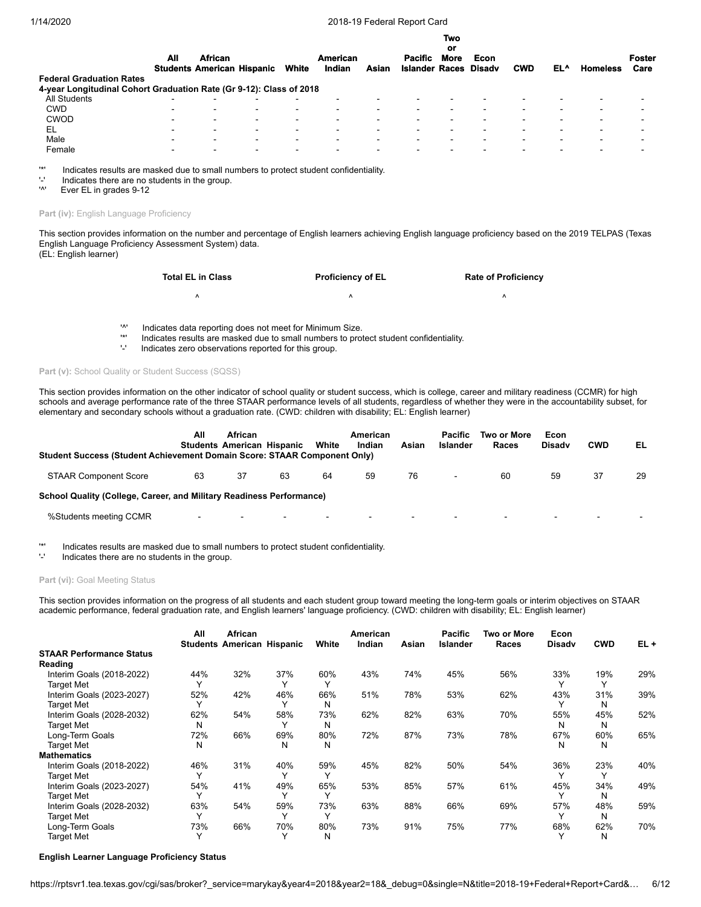| All                      | <b>African</b> |                          | White                             | <b>American</b><br>Indian | Asian                                                               | <b>Pacific</b> | <b>Two</b><br>or<br><b>More</b> | Econ<br><b>Disadv</b> | <b>CWD</b>               | EL^                      | <b>Homeless</b> | <b>Foster</b><br>Care |
|--------------------------|----------------|--------------------------|-----------------------------------|---------------------------|---------------------------------------------------------------------|----------------|---------------------------------|-----------------------|--------------------------|--------------------------|-----------------|-----------------------|
|                          |                |                          |                                   |                           |                                                                     |                |                                 |                       |                          |                          |                 |                       |
| $\overline{\phantom{0}}$ | -              | $\overline{\phantom{0}}$ |                                   |                           |                                                                     |                |                                 |                       |                          |                          |                 |                       |
| $\overline{\phantom{0}}$ | -              | $\overline{\phantom{0}}$ | $\overline{\phantom{0}}$          | $\overline{\phantom{0}}$  | -                                                                   |                |                                 |                       |                          | -                        | -               |                       |
| $\overline{\phantom{0}}$ | $\blacksquare$ | $\overline{\phantom{0}}$ | $\overline{\phantom{0}}$          | $\overline{\phantom{0}}$  | -                                                                   |                |                                 |                       | -                        |                          | -               |                       |
| $\overline{\phantom{0}}$ | $\blacksquare$ | $\overline{\phantom{0}}$ | $\overline{\phantom{0}}$          | $\overline{\phantom{0}}$  | -                                                                   | -              |                                 |                       | -                        | -                        | -               |                       |
| -                        | $\sim$         | $\blacksquare$           | $\overline{\phantom{0}}$          | $\overline{\phantom{0}}$  | $\overline{\phantom{0}}$                                            | -              |                                 |                       | $\overline{\phantom{0}}$ | $\overline{\phantom{0}}$ | -               | -                     |
| -                        | $\blacksquare$ | $\,$                     | $\overline{\phantom{0}}$          | $\overline{\phantom{0}}$  | -                                                                   | -              |                                 |                       |                          |                          | -               | -                     |
|                          |                |                          | <b>Students American Hispanic</b> |                           | 4-year Longitudinal Cohort Graduation Rate (Gr 9-12): Class of 2018 |                |                                 |                       | <b>Islander Races</b>    |                          |                 |                       |

'\*' Indicates results are masked due to small numbers to protect student confidentiality.

 $'$ -' Indicates there are no students in the group.<br> $'$ <sup>1</sup>

Ever EL in grades 9-12

#### Part (iv): English Language Proficiency

This section provides information on the number and percentage of English learners achieving English language proficiency based on the 2019 TELPAS (Texas English Language Proficiency Assessment System) data. (EL: English learner)

> **Total EL in Class Proficiency of EL Rate of Proficiency**  $\wedge$   $\wedge$   $\wedge$   $\wedge$

'^' Indicates data reporting does not meet for Minimum Size.

'\*' Indicates results are masked due to small numbers to protect student confidentiality.

Indicates zero observations reported for this group.

#### Part (v): School Quality or Student Success (SQSS)

This section provides information on the other indicator of school quality or student success, which is college, career and military readiness (CCMR) for high schools and average performance rate of the three STAAR performance levels of all students, regardless of whether they were in the accountability subset, for elementary and secondary schools without a graduation rate. (CWD: children with disability; EL: English learner)

| Student Success (Student Achievement Domain Score: STAAR Component Only) | All                      | <b>African</b> | <b>Students American Hispanic</b> | White  | American<br>Indian | Asian | <b>Pacific</b><br>Islander | Two or More<br>Races     | Econ<br><b>Disady</b> | <b>CWD</b> | EL |
|--------------------------------------------------------------------------|--------------------------|----------------|-----------------------------------|--------|--------------------|-------|----------------------------|--------------------------|-----------------------|------------|----|
| <b>STAAR Component Score</b>                                             | 63                       | 37             | 63                                | 64     | 59                 | 76    | $\blacksquare$             | 60                       | 59                    | 37         | 29 |
| School Quality (College, Career, and Military Readiness Performance)     |                          |                |                                   |        |                    |       |                            |                          |                       |            |    |
| %Students meeting CCMR                                                   | $\overline{\phantom{0}}$ |                | -                                 | $\sim$ | $\,$               |       |                            | $\overline{\phantom{0}}$ | $\sim$                | -          |    |

'\*' Indicates results are masked due to small numbers to protect student confidentiality.

Indicates there are no students in the group.

## Part (vi): Goal Meeting Status

This section provides information on the progress of all students and each student group toward meeting the long-term goals or interim objectives on STAAR academic performance, federal graduation rate, and English learners' language proficiency. (CWD: children with disability; EL: English learner)

|                                 | All          | African<br><b>Students American Hispanic</b> |              | White        | American<br>Indian | Asian | <b>Pacific</b><br>Islander | Two or More<br>Races | Econ<br><b>Disady</b> | <b>CWD</b> | $EL +$ |
|---------------------------------|--------------|----------------------------------------------|--------------|--------------|--------------------|-------|----------------------------|----------------------|-----------------------|------------|--------|
| <b>STAAR Performance Status</b> |              |                                              |              |              |                    |       |                            |                      |                       |            |        |
| Reading                         |              |                                              |              |              |                    |       |                            |                      |                       |            |        |
| Interim Goals (2018-2022)       | 44%          | 32%                                          | 37%          | 60%          | 43%                | 74%   | 45%                        | 56%                  | 33%                   | 19%        | 29%    |
| <b>Target Met</b>               |              |                                              |              |              |                    |       |                            |                      |                       |            |        |
| Interim Goals (2023-2027)       | 52%          | 42%                                          | 46%          | 66%          | 51%                | 78%   | 53%                        | 62%                  | 43%                   | 31%        | 39%    |
| <b>Target Met</b>               |              |                                              |              | N            |                    |       |                            |                      |                       | N          |        |
| Interim Goals (2028-2032)       | 62%          | 54%                                          | 58%          | 73%          | 62%                | 82%   | 63%                        | 70%                  | 55%                   | 45%        | 52%    |
| <b>Target Met</b>               | N            |                                              |              | N            |                    |       |                            |                      | N                     | N          |        |
| Long-Term Goals                 | 72%          | 66%                                          | 69%          | 80%          | 72%                | 87%   | 73%                        | 78%                  | 67%                   | 60%        | 65%    |
| <b>Target Met</b>               | N            |                                              | N            | N            |                    |       |                            |                      | N                     | N          |        |
| <b>Mathematics</b>              |              |                                              |              |              |                    |       |                            |                      |                       |            |        |
| Interim Goals (2018-2022)       | 46%          | 31%                                          | 40%          | 59%          | 45%                | 82%   | 50%                        | 54%                  | 36%                   | 23%        | 40%    |
| <b>Target Met</b>               | $\checkmark$ |                                              |              | $\checkmark$ |                    |       |                            |                      |                       | v          |        |
| Interim Goals (2023-2027)       | 54%          | 41%                                          | 49%          | 65%          | 53%                | 85%   | 57%                        | 61%                  | 45%                   | 34%        | 49%    |
| <b>Target Met</b>               | $\checkmark$ |                                              | $\checkmark$ | $\checkmark$ |                    |       |                            |                      |                       | N          |        |
| Interim Goals (2028-2032)       | 63%          | 54%                                          | 59%          | 73%          | 63%                | 88%   | 66%                        | 69%                  | 57%                   | 48%        | 59%    |
| <b>Target Met</b>               |              |                                              |              | $\checkmark$ |                    |       |                            |                      |                       | N          |        |
| Long-Term Goals                 | 73%          | 66%                                          | 70%          | 80%          | 73%                | 91%   | 75%                        | 77%                  | 68%                   | 62%        | 70%    |
| <b>Target Met</b>               |              |                                              |              | N            |                    |       |                            |                      |                       | N          |        |

#### **English Learner Language Proficiency Status**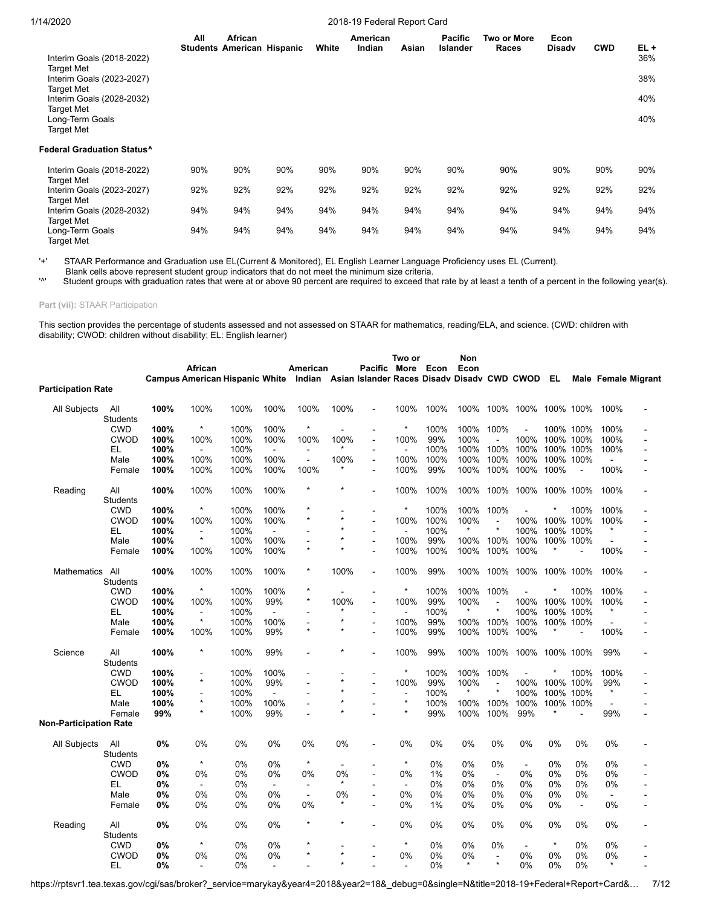| Interim Goals (2018-2022)                                 | All | African<br><b>Students American Hispanic</b> |     | White | American<br>Indian | Asian | <b>Pacific</b><br><b>Islander</b> | Two or More<br>Races | Econ<br><b>Disady</b> | <b>CWD</b> | $EL +$<br>36% |
|-----------------------------------------------------------|-----|----------------------------------------------|-----|-------|--------------------|-------|-----------------------------------|----------------------|-----------------------|------------|---------------|
| <b>Target Met</b><br>Interim Goals (2023-2027)            |     |                                              |     |       |                    |       |                                   |                      |                       |            | 38%           |
| <b>Target Met</b><br>Interim Goals (2028-2032)            |     |                                              |     |       |                    |       |                                   |                      |                       |            | 40%           |
| <b>Target Met</b><br>Long-Term Goals<br><b>Target Met</b> |     |                                              |     |       |                    |       |                                   |                      |                       |            | 40%           |
| <b>Federal Graduation Status^</b>                         |     |                                              |     |       |                    |       |                                   |                      |                       |            |               |
| Interim Goals (2018-2022)<br><b>Target Met</b>            | 90% | 90%                                          | 90% | 90%   | 90%                | 90%   | 90%                               | 90%                  | 90%                   | 90%        | 90%           |
| Interim Goals (2023-2027)<br><b>Target Met</b>            | 92% | 92%                                          | 92% | 92%   | 92%                | 92%   | 92%                               | 92%                  | 92%                   | 92%        | 92%           |
| Interim Goals (2028-2032)<br><b>Target Met</b>            | 94% | 94%                                          | 94% | 94%   | 94%                | 94%   | 94%                               | 94%                  | 94%                   | 94%        | 94%           |
| Long-Term Goals<br><b>Target Met</b>                      | 94% | 94%                                          | 94% | 94%   | 94%                | 94%   | 94%                               | 94%                  | 94%                   | 94%        | 94%           |

'+' STAAR Performance and Graduation use EL(Current & Monitored), EL English Learner Language Proficiency uses EL (Current).

Blank cells above represent student group indicators that do not meet the minimum size criteria.<br><sup>'N</sup> Student groups with graduation rates that were at ar above 00 percent are required to axcood the

Student groups with graduation rates that were at or above 90 percent are required to exceed that rate by at least a tenth of a percent in the following year(s).

**Part (vii):** STAAR Participation

This section provides the percentage of students assessed and not assessed on STAAR for mathematics, reading/ELA, and science. (CWD: children with disability; CWOD: children without disability; EL: English learner)

|                           |                        |      | African                               |      |                          | American                  |         | <b>Pacific</b>                                        | Two or<br>More | Econ | Non<br>Econ |                |                |         |                   |                |                     |
|---------------------------|------------------------|------|---------------------------------------|------|--------------------------|---------------------------|---------|-------------------------------------------------------|----------------|------|-------------|----------------|----------------|---------|-------------------|----------------|---------------------|
| <b>Participation Rate</b> |                        |      | <b>Campus American Hispanic White</b> |      |                          |                           |         | Indian Asian Islander Races Disady Disady CWD CWOD EL |                |      |             |                |                |         |                   |                | Male Female Migrant |
|                           |                        |      |                                       |      |                          |                           |         |                                                       |                |      |             |                |                |         |                   |                |                     |
| All Subjects              | All<br><b>Students</b> | 100% | 100%                                  | 100% | 100%                     | 100%                      | 100%    |                                                       | 100%           | 100% | 100%        |                | 100% 100%      |         | 100% 100%         | 100%           |                     |
|                           | <b>CWD</b>             | 100% | $\star$                               | 100% | 100%                     | $\star$                   |         | $\overline{a}$                                        | $\star$        | 100% | 100%        | 100%           | $\overline{a}$ |         | 100% 100%         | 100%           |                     |
|                           | <b>CWOD</b>            | 100% | 100%                                  | 100% | 100%                     | 100%                      | 100%    | $\blacksquare$                                        | 100%           | 99%  | 100%        |                | 100%           |         | 100% 100%         | 100%           |                     |
|                           | EL                     | 100% | $\overline{a}$                        | 100% |                          | $\overline{a}$            |         | $\overline{\phantom{a}}$                              | $\overline{a}$ | 100% | 100%        | 100%           | 100%           |         | 100% 100%         | 100%           |                     |
|                           | Male                   | 100% | 100%                                  | 100% | 100%                     | $\blacksquare$            | 100%    | $\blacksquare$                                        | 100%           | 100% | 100%        | 100%           | 100%           |         | 100% 100%         | $\blacksquare$ |                     |
|                           | Female                 | 100% | 100%                                  | 100% | 100%                     | 100%                      |         | $\blacksquare$                                        | 100%           | 99%  | 100%        | 100%           | 100%           | 100%    | $\blacksquare$    | 100%           |                     |
| Reading                   | All<br><b>Students</b> | 100% | 100%                                  | 100% | 100%                     | $\star$                   |         | $\blacksquare$                                        | 100%           | 100% | 100%        | 100%           | 100%           |         | 100% 100%         | 100%           |                     |
|                           | <b>CWD</b>             | 100% | $\star$                               | 100% | 100%                     | $\star$                   |         | $\overline{a}$                                        | $\star$        | 100% | 100%        | 100%           |                |         | 100%              | 100%           |                     |
|                           | <b>CWOD</b>            | 100% | 100%                                  | 100% | 100%                     | $\star$                   | $\star$ | $\overline{\phantom{a}}$                              | 100%           | 100% | 100%        |                | 100%           |         | 100% 100%         | 100%           |                     |
|                           | EL                     | 100% | $\overline{a}$                        | 100% | $\overline{\phantom{a}}$ |                           |         |                                                       | $\overline{a}$ | 100% |             | $\star$        | 100%           | 100%    | 100%              |                |                     |
|                           | Male                   | 100% | $\star$                               | 100% | 100%                     |                           |         | $\blacksquare$                                        | 100%           | 99%  | 100%        | 100%           | 100%           |         | 100% 100%         |                |                     |
|                           | Female                 | 100% | 100%                                  | 100% | 100%                     | $\star$                   | $\star$ |                                                       | 100%           | 100% | 100%        | 100%           | 100%           |         |                   | 100%           |                     |
| <b>Mathematics</b>        | All<br><b>Students</b> | 100% | 100%                                  | 100% | 100%                     | *                         | 100%    | $\blacksquare$                                        | 100%           | 99%  | 100%        | 100%           | 100%           |         | 100% 100%         | 100%           |                     |
|                           | <b>CWD</b>             | 100% | $\ast$                                | 100% | 100%                     | ×                         |         |                                                       | $\star$        | 100% | 100%        | 100%           |                |         | 100%              | 100%           |                     |
|                           | <b>CWOD</b>            | 100% |                                       | 100% | 99%                      | $\star$                   | 100%    | $\overline{\phantom{a}}$<br>$\blacksquare$            | 100%           | 99%  | 100%        |                |                |         |                   |                |                     |
|                           | EL                     | 100% | 100%<br>$\blacksquare$                | 100% |                          |                           |         |                                                       |                | 100% |             | $\star$        | 100%<br>100%   | 100%    | 100% 100%<br>100% | 100%           |                     |
|                           |                        |      | $\star$                               |      |                          | $\overline{\phantom{a}}$  |         | $\blacksquare$                                        | 100%           | 99%  |             |                |                |         |                   |                |                     |
|                           | Male                   | 100% |                                       | 100% | 100%                     | $\blacksquare$<br>$\star$ |         | $\overline{\phantom{a}}$                              |                |      | 100%        | 100%           | 100%           |         | 100% 100%         |                |                     |
|                           | Female                 | 100% | 100%                                  | 100% | 99%                      |                           |         | $\overline{a}$                                        | 100%           | 99%  | 100%        | 100%           | 100%           |         |                   | 100%           |                     |
| Science                   | All<br>Students        | 100% | $\star$                               | 100% | 99%                      |                           |         |                                                       | 100%           | 99%  | 100%        |                | 100% 100%      |         | 100% 100%         | 99%            |                     |
|                           | <b>CWD</b>             | 100% | $\overline{a}$                        | 100% | 100%                     | L.                        |         | $\overline{a}$                                        | $\star$        | 100% | 100%        | 100%           |                |         | 100%              | 100%           |                     |
|                           | <b>CWOD</b>            | 100% | $\star$                               | 100% | 99%                      |                           |         |                                                       | 100%           | 99%  | 100%        | $\overline{a}$ | 100%           |         | 100% 100%         | 99%            | $\overline{a}$      |
|                           | EL.                    | 100% |                                       | 100% | $\sim$                   |                           |         |                                                       | $\blacksquare$ | 100% |             | $\star$        | 100%           |         | 100% 100%         | $\star$        |                     |
|                           | Male                   | 100% | $\star$                               | 100% | 100%                     |                           |         |                                                       | $\star$        | 100% | 100%        | 100%           | 100%           |         | 100% 100%         |                |                     |
| Non-Participation Rate    | Female                 | 99%  | $\star$                               | 100% | 99%                      |                           |         |                                                       | $\star$        | 99%  | 100%        | 100%           | 99%            |         |                   | 99%            |                     |
|                           |                        |      |                                       |      |                          |                           |         |                                                       |                |      |             |                |                |         |                   |                |                     |
| All Subjects              | All<br><b>Students</b> | О%   | 0%                                    | 0%   | 0%                       | 0%                        | 0%      |                                                       | 0%             | 0%   | 0%          | 0%             | 0%             | 0%      | 0%                | 0%             |                     |
|                           | <b>CWD</b>             | 0%   | $\star$                               | 0%   | 0%                       | $\star$                   |         |                                                       | $\star$        | 0%   | 0%          | 0%             | $\blacksquare$ | 0%      | 0%                | 0%             |                     |
|                           | <b>CWOD</b>            | 0%   | 0%                                    | 0%   | 0%                       | 0%                        | 0%      |                                                       | 0%             | 1%   | 0%          | $\sim$         | 0%             | 0%      | 0%                | 0%             |                     |
|                           | EL.                    | 0%   | $\blacksquare$                        | 0%   | $\blacksquare$           | $\sim$                    | $\star$ | $\blacksquare$                                        | $\blacksquare$ | 0%   | 0%          | 0%             | 0%             | 0%      | 0%                | 0%             |                     |
|                           | Male                   | 0%   | 0%                                    | 0%   | 0%                       | $\sim$                    | 0%      | $\overline{\phantom{a}}$                              | 0%             | 0%   | 0%          | 0%             | 0%             | 0%      | 0%                |                |                     |
|                           | Female                 | 0%   | 0%                                    | 0%   | 0%                       | 0%                        | $\star$ | $\overline{\phantom{a}}$                              | 0%             | 1%   | 0%          | 0%             | 0%             | 0%      | $\blacksquare$    | 0%             |                     |
| Reading                   | All<br><b>Students</b> | 0%   | 0%                                    | 0%   | 0%                       | $\star$                   | $\star$ |                                                       | 0%             | 0%   | 0%          | 0%             | 0%             | 0%      | 0%                | 0%             |                     |
|                           | <b>CWD</b>             | 0%   | $\star$                               | 0%   | 0%                       |                           |         |                                                       | $\star$        | 0%   | 0%          | 0%             |                | $\star$ | 0%                | 0%             |                     |
|                           | <b>CWOD</b>            | 0%   | 0%                                    | 0%   | 0%                       | $\star$                   | $\star$ |                                                       | 0%             | 0%   | 0%          | $\blacksquare$ | 0%             | 0%      | 0%                | 0%             |                     |
|                           | EL                     | О%   | $\sim$                                | 0%   | $\sim$                   |                           | $\star$ |                                                       | $\overline{a}$ | 0%   | $\star$     | $\star$        | 0%             | 0%      | 0%                | $\star$        |                     |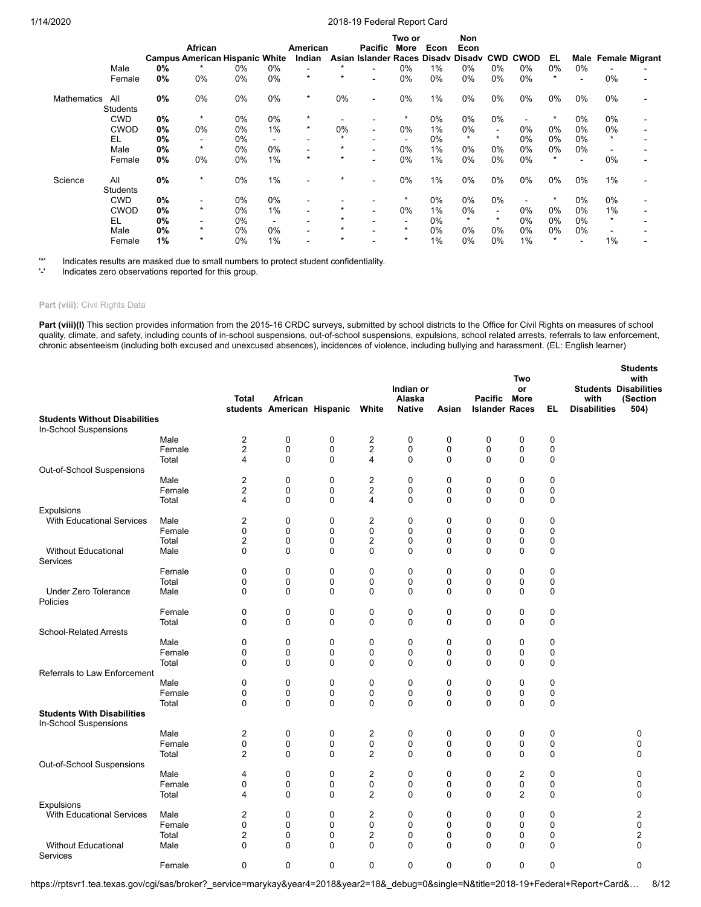|                    |                 |    |                                       |    |                          |                          |         |                             | Two or                   |      | Non     |            |             |         |       |         |                            |
|--------------------|-----------------|----|---------------------------------------|----|--------------------------|--------------------------|---------|-----------------------------|--------------------------|------|---------|------------|-------------|---------|-------|---------|----------------------------|
|                    |                 |    | African                               |    |                          | American                 |         | Pacific                     | More                     | Econ | Econ    |            |             |         |       |         |                            |
|                    |                 |    | <b>Campus American Hispanic White</b> |    |                          | Indian                   |         | Asian Islander Races Disadv |                          |      | Disadv  | <b>CWD</b> | <b>CWOD</b> | EL      |       |         | <b>Male Female Migrant</b> |
|                    | Male            | 0% |                                       | 0% | $0\%$                    |                          | $\star$ |                             | 0%                       | 1%   | 0%      | 0%         | 0%          | $0\%$   | $0\%$ |         |                            |
|                    | Female          | 0% | 0%                                    | 0% | $0\%$                    | $\star$                  | $\star$ |                             | 0%                       | 0%   | 0%      | 0%         | 0%          |         |       | 0%      |                            |
| <b>Mathematics</b> | All             | 0% | 0%                                    | 0% | $0\%$                    | $\ast$                   | 0%      |                             | 0%                       | 1%   | 0%      | 0%         | 0%          | $0\%$   | $0\%$ | $0\%$   |                            |
|                    | Students        |    |                                       |    |                          |                          |         |                             |                          |      |         |            |             |         |       |         |                            |
|                    | <b>CWD</b>      | 0% | $\star$                               | 0% | 0%                       | $\star$                  |         |                             | *                        | 0%   | 0%      | 0%         |             |         | 0%    | 0%      |                            |
|                    | <b>CWOD</b>     | 0% | $0\%$                                 | 0% | 1%                       | $\star$                  | 0%      |                             | 0%                       | 1%   | 0%      | $\sim$     | 0%          | $0\%$   | 0%    | 0%      |                            |
|                    | EL              | 0% |                                       | 0% | $\overline{\phantom{a}}$ |                          | $\star$ |                             | $\overline{\phantom{0}}$ | 0%   | $\star$ | $\star$    | 0%          | $0\%$   | 0%    | $\star$ |                            |
|                    | Male            | 0% | $\star$                               | 0% | 0%                       | $\overline{\phantom{0}}$ | $\star$ |                             | 0%                       | 1%   | 0%      | $0\%$      | 0%          | $0\%$   | $0\%$ |         |                            |
|                    | Female          | 0% | 0%                                    | 0% | 1%                       | $\star$                  | $\star$ |                             | 0%                       | 1%   | 0%      | 0%         | 0%          | $\star$ |       | 0%      |                            |
| Science            | All             | 0% | $\star$                               | 0% | 1%                       |                          | $\star$ |                             | 0%                       | 1%   | 0%      | 0%         | 0%          | $0\%$   | 0%    | 1%      |                            |
|                    | <b>Students</b> |    |                                       |    |                          |                          |         |                             |                          |      |         |            |             |         |       |         |                            |
|                    | <b>CWD</b>      | 0% |                                       | 0% | $0\%$                    |                          |         |                             | $\star$                  | 0%   | 0%      | 0%         |             |         | 0%    | 0%      |                            |
|                    | <b>CWOD</b>     | 0% | $\star$                               | 0% | 1%                       |                          | $\star$ |                             | 0%                       | 1%   | 0%      | $\sim$     | 0%          | $0\%$   | 0%    | 1%      |                            |
|                    | EL              | 0% |                                       | 0% | $\blacksquare$           |                          | $\star$ |                             |                          | 0%   | $\star$ | $\star$    | 0%          | $0\%$   | 0%    | $\star$ |                            |
|                    | Male            | 0% | $\star$                               | 0% | 0%                       |                          | $\star$ |                             | $\star$                  | 0%   | 0%      | 0%         | 0%          | 0%      | $0\%$ |         |                            |
|                    | Female          | 1% | $\star$                               | 0% | 1%                       |                          | $\star$ |                             | $\star$                  | 1%   | 0%      | $0\%$      | 1%          | $\star$ |       | 1%      |                            |

'\*' Indicates results are masked due to small numbers to protect student confidentiality.

Indicates zero observations reported for this group.

#### Part (viii): Civil Rights Data

Part (viii)(I) This section provides information from the 2015-16 CRDC surveys, submitted by school districts to the Office for Civil Rights on measures of school quality, climate, and safety, including counts of in-school suspensions, out-of-school suspensions, expulsions, school related arrests, referrals to law enforcement, chronic absenteeism (including both excused and unexcused absences), incidences of violence, including bullying and harassment. (EL: English learner)

**Students**

|                                                               |        | <b>Total</b>                     | African                    |                   |                | Indian or<br>Alaska |                   | Pacific               | Two<br>or<br>More |             | with                | งเนนงแเอ<br>with<br><b>Students Disabilities</b><br>(Section |
|---------------------------------------------------------------|--------|----------------------------------|----------------------------|-------------------|----------------|---------------------|-------------------|-----------------------|-------------------|-------------|---------------------|--------------------------------------------------------------|
|                                                               |        |                                  | students American Hispanic |                   | White          | <b>Native</b>       | Asian             | <b>Islander Races</b> |                   | EL          | <b>Disabilities</b> | 504)                                                         |
| <b>Students Without Disabilities</b><br>In-School Suspensions |        |                                  |                            |                   |                |                     |                   |                       |                   |             |                     |                                                              |
|                                                               | Male   | 2                                | 0                          | 0                 | 2              | 0                   | 0                 | 0                     | 0                 | 0           |                     |                                                              |
|                                                               | Female | $\overline{c}$                   | $\pmb{0}$                  | 0                 | 2              | $\pmb{0}$           | $\mathbf 0$       | $\mathbf 0$           | $\mathbf 0$       | 0           |                     |                                                              |
|                                                               | Total  | 4                                | $\mathbf 0$                | 0                 | 4              | 0                   | 0                 | 0                     | $\mathbf 0$       | 0           |                     |                                                              |
| Out-of-School Suspensions                                     |        |                                  |                            |                   |                |                     |                   |                       |                   |             |                     |                                                              |
|                                                               | Male   | $\overline{2}$                   | $\mathbf 0$                | 0                 | 2              | 0                   | $\mathbf 0$       | $\mathbf 0$           | $\mathbf 0$       | 0           |                     |                                                              |
|                                                               | Female | $\overline{c}$<br>$\overline{4}$ | 0                          | 0                 | 2              | 0                   | 0<br>$\mathbf{0}$ | 0                     | 0                 | 0           |                     |                                                              |
| Expulsions                                                    | Total  |                                  | $\mathbf 0$                | 0                 | 4              | $\mathbf 0$         |                   | $\Omega$              | $\Omega$          | $\mathbf 0$ |                     |                                                              |
| <b>With Educational Services</b>                              | Male   | $\overline{2}$                   | $\mathbf 0$                | 0                 | 2              | $\mathbf 0$         | $\mathbf 0$       | $\Omega$              | 0                 | 0           |                     |                                                              |
|                                                               | Female | $\mathbf 0$                      | 0                          | 0                 | 0              | $\mathbf 0$         | $\mathbf 0$       | 0                     | $\mathbf 0$       | $\mathbf 0$ |                     |                                                              |
|                                                               | Total  | 2                                | 0                          | 0                 | 2              | 0                   | 0                 | 0                     | 0                 | 0           |                     |                                                              |
| <b>Without Educational</b>                                    | Male   | $\mathbf{0}$                     | $\mathbf 0$                | 0                 | 0              | $\mathbf 0$         | $\mathbf 0$       | $\Omega$              | $\mathbf 0$       | $\mathbf 0$ |                     |                                                              |
| Services                                                      |        |                                  |                            |                   |                |                     |                   |                       |                   |             |                     |                                                              |
|                                                               | Female | 0                                | 0                          | 0                 | 0              | $\mathbf 0$         | $\mathbf 0$       | 0                     | 0                 | $\mathbf 0$ |                     |                                                              |
|                                                               | Total  | $\mathbf 0$                      | $\mathbf 0$                | 0                 | 0              | $\pmb{0}$           | $\mathbf 0$       | 0                     | $\mathbf 0$       | 0           |                     |                                                              |
| <b>Under Zero Tolerance</b><br>Policies                       | Male   | $\mathbf 0$                      | $\mathbf 0$                | 0                 | 0              | 0                   | $\mathbf 0$       | 0                     | 0                 | 0           |                     |                                                              |
|                                                               | Female | 0                                | 0                          | 0                 | 0              | 0                   | 0                 | 0                     | 0                 | 0           |                     |                                                              |
|                                                               | Total  | $\Omega$                         | $\Omega$                   | $\Omega$          | 0              | $\mathbf 0$         | $\Omega$          | $\Omega$              | $\Omega$          | $\mathbf 0$ |                     |                                                              |
| <b>School-Related Arrests</b>                                 |        |                                  |                            |                   |                |                     |                   |                       |                   |             |                     |                                                              |
|                                                               | Male   | 0                                | 0                          | 0                 | 0              | 0                   | 0                 | 0                     | 0                 | 0           |                     |                                                              |
|                                                               | Female | 0                                | 0                          | 0                 | 0              | 0                   | $\mathbf 0$       | 0                     | 0                 | $\mathbf 0$ |                     |                                                              |
|                                                               | Total  | $\Omega$                         | $\mathbf 0$                | 0                 | 0              | $\mathbf 0$         | $\Omega$          | $\Omega$              | $\mathbf 0$       | 0           |                     |                                                              |
| <b>Referrals to Law Enforcement</b>                           |        |                                  |                            |                   |                |                     |                   |                       |                   |             |                     |                                                              |
|                                                               | Male   | $\mathbf 0$                      | 0                          | 0                 | 0              | $\mathbf 0$         | 0                 | 0                     | $\mathbf 0$       | 0           |                     |                                                              |
|                                                               | Female | 0<br>$\mathbf{0}$                | 0                          | 0<br>$\mathbf{0}$ | 0              | 0                   | 0<br>$\mathbf{0}$ | 0                     | 0                 | 0           |                     |                                                              |
| <b>Students With Disabilities</b>                             | Total  |                                  | $\mathbf 0$                |                   | 0              | $\mathbf 0$         |                   | $\Omega$              | $\Omega$          | $\mathbf 0$ |                     |                                                              |
| In-School Suspensions                                         |        |                                  |                            |                   |                |                     |                   |                       |                   |             |                     |                                                              |
|                                                               | Male   | 2                                | 0                          | 0                 | 2              | $\mathbf 0$         | 0                 | 0                     | $\mathbf 0$       | 0           |                     | 0                                                            |
|                                                               | Female | 0                                | 0                          | 0                 | 0              | 0                   | 0                 | 0                     | 0                 | 0           |                     | $\mathbf 0$                                                  |
|                                                               | Total  | $\overline{2}$                   | $\mathbf 0$                | 0                 | $\overline{2}$ | $\mathbf 0$         | $\mathbf 0$       | $\Omega$              | $\mathbf 0$       | $\mathbf 0$ |                     | $\mathbf 0$                                                  |
| Out-of-School Suspensions                                     |        |                                  |                            |                   |                |                     |                   |                       |                   |             |                     |                                                              |
|                                                               | Male   | 4                                | 0                          | 0                 | 2              | $\mathbf 0$         | $\mathbf 0$       | 0                     | $\overline{2}$    | $\mathbf 0$ |                     | 0                                                            |
|                                                               | Female | 0                                | 0                          | 0                 | 0              | 0                   | $\mathbf 0$       | 0                     | $\mathbf 0$       | 0           |                     | $\mathbf 0$                                                  |
| Expulsions                                                    | Total  | 4                                | 0                          | 0                 | 2              | 0                   | $\mathbf 0$       | 0                     | $\overline{2}$    | 0           |                     | 0                                                            |
| <b>With Educational Services</b>                              | Male   | 2                                | 0                          | 0                 | 2              | 0                   | 0                 | 0                     | 0                 | 0           |                     | $\overline{c}$                                               |
|                                                               | Female | $\mathbf 0$                      | $\mathbf 0$                | $\Omega$          | 0              | $\mathbf 0$         | $\Omega$          | $\Omega$              | $\Omega$          | $\mathbf 0$ |                     | $\Omega$                                                     |
|                                                               | Total  | $\overline{c}$                   | 0                          | 0                 | 2              | 0                   | $\mathbf 0$       | 0                     | 0                 | 0           |                     | $\overline{c}$                                               |
| <b>Without Educational</b><br>Services                        | Male   | $\mathbf 0$                      | $\mathbf 0$                | 0                 | 0              | 0                   | $\mathbf 0$       | $\mathbf 0$           | 0                 | 0           |                     | $\mathbf 0$                                                  |
|                                                               | Female | $\mathbf 0$                      | 0                          | 0                 | 0              | $\mathbf 0$         | $\mathbf 0$       | 0                     | $\mathbf 0$       | $\mathbf 0$ |                     | $\mathbf 0$                                                  |

https://rptsvr1.tea.texas.gov/cgi/sas/broker?\_service=marykay&year4=2018&year2=18&\_debug=0&single=N&title=2018-19+Federal+Report+Card&… 8/12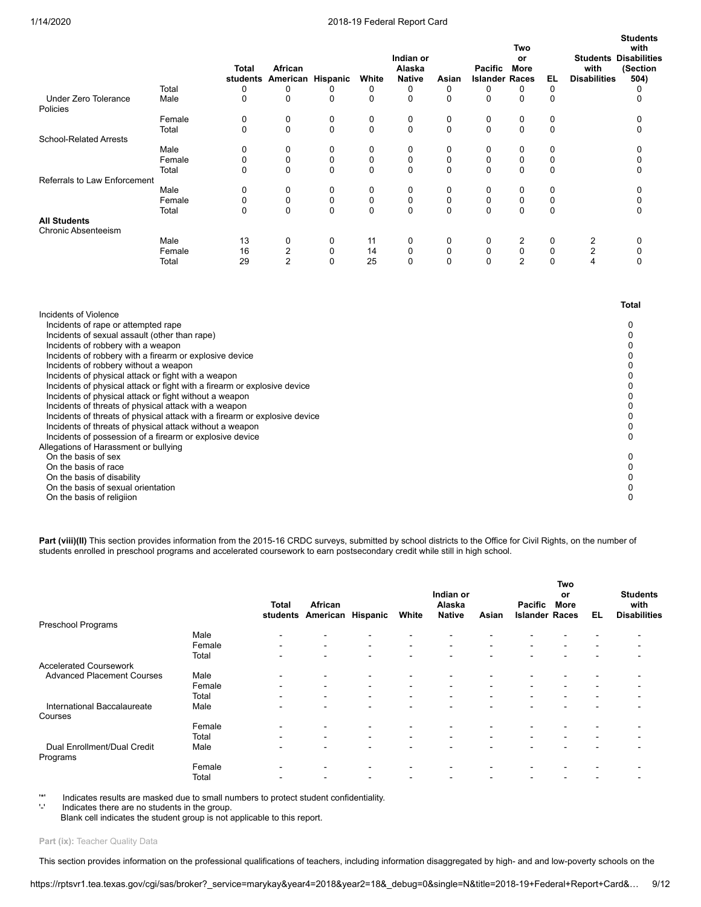**Students**

|                                            |        |              |          |          |          | Indian or     |             |                       | Two<br>or   |          | <b>Students</b>     | with<br><b>Disabilities</b> |
|--------------------------------------------|--------|--------------|----------|----------|----------|---------------|-------------|-----------------------|-------------|----------|---------------------|-----------------------------|
|                                            |        | <b>Total</b> | African  |          |          | Alaska        |             | <b>Pacific</b>        | <b>More</b> |          | with                | (Section                    |
|                                            |        | students     | American | Hispanic | White    | <b>Native</b> | Asian       | <b>Islander Races</b> |             | EL.      | <b>Disabilities</b> | 504)                        |
|                                            | Total  | 0            | 0        |          | 0        | 0             | 0           | 0                     | 0           | 0        |                     |                             |
| <b>Under Zero Tolerance</b><br>Policies    | Male   | 0            | 0        | 0        | 0        | 0             | 0           | 0                     | 0           | 0        |                     |                             |
|                                            | Female | 0            | 0        | 0        | 0        | 0             | 0           | 0                     | 0           | 0        |                     |                             |
|                                            | Total  | $\Omega$     | $\Omega$ | $\Omega$ | $\Omega$ | $\Omega$      | $\Omega$    | $\Omega$              | $\Omega$    | 0        |                     |                             |
| <b>School-Related Arrests</b>              |        |              |          |          |          |               |             |                       |             |          |                     |                             |
|                                            | Male   | 0            | 0        | 0        | 0        | 0             | 0           | 0                     | 0           |          |                     |                             |
|                                            | Female | 0            | 0        | $\Omega$ | 0        | 0             | $\Omega$    | 0                     | 0           |          |                     |                             |
|                                            | Total  | $\Omega$     | 0        | $\Omega$ | $\Omega$ | $\Omega$      | $\Omega$    | 0                     | 0           | 0        |                     |                             |
| Referrals to Law Enforcement               |        |              |          |          |          |               |             |                       |             |          |                     |                             |
|                                            | Male   | $\mathbf 0$  | 0        | 0        | 0        | 0             | $\mathbf 0$ | 0                     | 0           |          |                     |                             |
|                                            | Female | 0            | 0        | 0        | 0        | 0             | 0           | 0                     | 0           |          |                     |                             |
|                                            | Total  | $\Omega$     | 0        | $\Omega$ | $\Omega$ | $\Omega$      | $\Omega$    | 0                     | 0           | $\Omega$ |                     |                             |
| <b>All Students</b><br>Chronic Absenteeism |        |              |          |          |          |               |             |                       |             |          |                     |                             |
|                                            | Male   | 13           | 0        | 0        | 11       | 0             | 0           | 0                     | 2           | $\Omega$ | 2                   |                             |
|                                            | Female | 16           | 2        | 0        | 14       | 0             | $\Omega$    | 0                     | 0           | 0        | $\overline{2}$      |                             |
|                                            | Total  | 29           | 2        | 0        | 25       | 0             | $\Omega$    |                       | 2           | 0        | 4                   |                             |

|                                                                            | Total |
|----------------------------------------------------------------------------|-------|
| Incidents of Violence                                                      |       |
| Incidents of rape or attempted rape                                        |       |
| Incidents of sexual assault (other than rape)                              |       |
| Incidents of robbery with a weapon                                         |       |
| Incidents of robbery with a firearm or explosive device                    |       |
| Incidents of robbery without a weapon                                      |       |
| Incidents of physical attack or fight with a weapon                        |       |
| Incidents of physical attack or fight with a firearm or explosive device   |       |
| Incidents of physical attack or fight without a weapon                     |       |
| Incidents of threats of physical attack with a weapon                      |       |
| Incidents of threats of physical attack with a firearm or explosive device |       |
| Incidents of threats of physical attack without a weapon                   |       |
| Incidents of possession of a firearm or explosive device                   |       |
| Allegations of Harassment or bullying                                      |       |
| On the basis of sex                                                        |       |
| On the basis of race                                                       |       |
| On the basis of disability                                                 |       |
| On the basis of sexual orientation                                         |       |
| On the basis of religiion                                                  |       |

Part (viii)(II) This section provides information from the 2015-16 CRDC surveys, submitted by school districts to the Office for Civil Rights, on the number of students enrolled in preschool programs and accelerated coursework to earn postsecondary credit while still in high school.

|                                         |        | <b>Total</b><br>students | African<br>American      | Hispanic                 | White                    | Indian or<br>Alaska<br><b>Native</b> | Asian                    | Pacific<br><b>Islander Races</b> | <b>Two</b><br>or<br>More | EL                       | <b>Students</b><br>with<br><b>Disabilities</b> |
|-----------------------------------------|--------|--------------------------|--------------------------|--------------------------|--------------------------|--------------------------------------|--------------------------|----------------------------------|--------------------------|--------------------------|------------------------------------------------|
| Preschool Programs                      |        |                          |                          |                          |                          |                                      |                          |                                  |                          |                          |                                                |
|                                         | Male   | $\overline{\phantom{0}}$ | $\overline{\phantom{0}}$ | $\overline{\phantom{0}}$ | $\blacksquare$           |                                      |                          |                                  |                          |                          |                                                |
|                                         | Female | $\overline{\phantom{a}}$ | $\sim$                   | $\blacksquare$           | $\sim$                   | $\blacksquare$                       |                          | $\sim$                           | $\,$ $\,$                |                          |                                                |
|                                         | Total  | -                        | $\overline{\phantom{0}}$ | $\overline{\phantom{0}}$ | $\overline{\phantom{0}}$ | -                                    |                          |                                  |                          |                          |                                                |
| <b>Accelerated Coursework</b>           |        |                          |                          |                          |                          |                                      |                          |                                  |                          |                          |                                                |
| <b>Advanced Placement Courses</b>       | Male   | $\overline{\phantom{0}}$ | $\blacksquare$           | $\overline{\phantom{0}}$ | $\blacksquare$           | -                                    |                          |                                  |                          |                          |                                                |
|                                         | Female | $\overline{\phantom{0}}$ | ۰.                       | $\overline{\phantom{a}}$ | $\blacksquare$           | ٠                                    | $\overline{\phantom{a}}$ | $\sim$                           | $\,$ $\,$                | $\overline{\phantom{a}}$ |                                                |
|                                         | Total  | $\overline{\phantom{0}}$ | $\sim$                   | $\blacksquare$           | $\blacksquare$           | $\blacksquare$                       | $\overline{\phantom{0}}$ | $\sim$                           | $\,$ $\,$                | $\overline{\phantom{0}}$ |                                                |
| International Baccalaureate<br>Courses  | Male   | -                        | $\sim$                   | $\overline{\phantom{0}}$ | $\blacksquare$           | -                                    |                          | $\overline{\phantom{0}}$         |                          | <b>1</b>                 |                                                |
|                                         | Female | $\overline{\phantom{0}}$ | $\overline{\phantom{0}}$ | $\overline{\phantom{0}}$ | $\overline{\phantom{a}}$ |                                      |                          |                                  |                          |                          |                                                |
|                                         | Total  | $\overline{\phantom{0}}$ | $\sim$                   | $\blacksquare$           | $\blacksquare$           | $\blacksquare$                       |                          | $\blacksquare$                   | $\,$ $\,$                |                          |                                                |
| Dual Enrollment/Dual Credit<br>Programs | Male   |                          | $\overline{\phantom{0}}$ | $\overline{\phantom{0}}$ | $\overline{\phantom{0}}$ |                                      |                          |                                  |                          |                          |                                                |
|                                         | Female | $\overline{\phantom{0}}$ | $\blacksquare$           | $\overline{\phantom{0}}$ | $\blacksquare$           |                                      |                          |                                  |                          |                          |                                                |
|                                         | Total  |                          |                          |                          | $\overline{\phantom{0}}$ |                                      |                          |                                  |                          |                          |                                                |

'\*' Indicates results are masked due to small numbers to protect student confidentiality.

Indicates there are no students in the group.

Blank cell indicates the student group is not applicable to this report.

Part (ix): Teacher Quality Data

This section provides information on the professional qualifications of teachers, including information disaggregated by high- and and low-poverty schools on the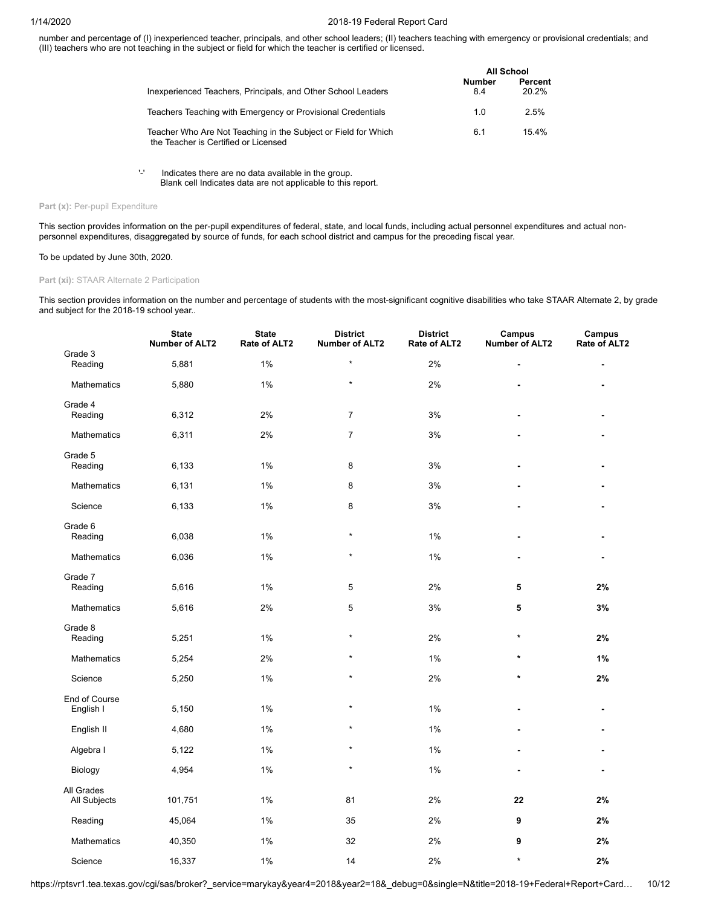number and percentage of (I) inexperienced teacher, principals, and other school leaders; (II) teachers teaching with emergency or provisional credentials; and (III) teachers who are not teaching in the subject or field for which the teacher is certified or licensed.

|                                                                                                        |                      | All School       |
|--------------------------------------------------------------------------------------------------------|----------------------|------------------|
| Inexperienced Teachers, Principals, and Other School Leaders                                           | <b>Number</b><br>8.4 | Percent<br>20.2% |
| Teachers Teaching with Emergency or Provisional Credentials                                            | 1.0                  | 2.5%             |
| Teacher Who Are Not Teaching in the Subject or Field for Which<br>the Teacher is Certified or Licensed | 6.1                  | 15.4%            |

'-' Indicates there are no data available in the group. Blank cell Indicates data are not applicable to this report.

## Part (x): Per-pupil Expenditure

This section provides information on the per-pupil expenditures of federal, state, and local funds, including actual personnel expenditures and actual nonpersonnel expenditures, disaggregated by source of funds, for each school district and campus for the preceding fiscal year.

## To be updated by June 30th, 2020.

## **Part (xi):** STAAR Alternate 2 Participation

This section provides information on the number and percentage of students with the most-significant cognitive disabilities who take STAAR Alternate 2, by grade and subject for the 2018-19 school year..

|                            | <b>State</b><br><b>Number of ALT2</b> | <b>State</b><br>Rate of ALT2 | <b>District</b><br><b>Number of ALT2</b> | <b>District</b><br>Rate of ALT2 | Campus<br><b>Number of ALT2</b> | <b>Campus</b><br>Rate of ALT2 |
|----------------------------|---------------------------------------|------------------------------|------------------------------------------|---------------------------------|---------------------------------|-------------------------------|
| Grade 3<br>Reading         | 5,881                                 | 1%                           | $\star$                                  | 2%                              |                                 |                               |
| Mathematics                | 5,880                                 | 1%                           | $\star$                                  | 2%                              |                                 |                               |
| Grade 4<br>Reading         | 6,312                                 | 2%                           | $\overline{7}$                           | 3%                              |                                 |                               |
| <b>Mathematics</b>         | 6,311                                 | 2%                           | $\overline{7}$                           | 3%                              |                                 |                               |
| Grade 5<br>Reading         | 6,133                                 | 1%                           | 8                                        | 3%                              |                                 |                               |
| <b>Mathematics</b>         | 6,131                                 | 1%                           | 8                                        | 3%                              |                                 |                               |
| Science                    | 6,133                                 | 1%                           | 8                                        | 3%                              |                                 |                               |
| Grade 6<br>Reading         | 6,038                                 | 1%                           | $\star$                                  | $1\%$                           |                                 |                               |
| <b>Mathematics</b>         | 6,036                                 | 1%                           | $\star$                                  | $1\%$                           |                                 | $\blacksquare$                |
| Grade 7<br>Reading         | 5,616                                 | 1%                           | 5                                        | 2%                              | 5                               | 2%                            |
| Mathematics                | 5,616                                 | 2%                           | 5                                        | 3%                              | 5                               | 3%                            |
| Grade 8<br>Reading         | 5,251                                 | 1%                           | $\star$                                  | 2%                              | $\star$                         | 2%                            |
| Mathematics                | 5,254                                 | 2%                           | $\star$                                  | 1%                              | $\star$                         | 1%                            |
| Science                    | 5,250                                 | 1%                           | $\star$                                  | 2%                              | $\star$                         | 2%                            |
| End of Course<br>English I | 5,150                                 | 1%                           | $\star$                                  | 1%                              |                                 |                               |
| English II                 | 4,680                                 | 1%                           | $\star$                                  | 1%                              |                                 |                               |
| Algebra I                  | 5,122                                 | 1%                           | $\star$                                  | 1%                              |                                 |                               |
| Biology                    | 4,954                                 | 1%                           | $\star$                                  | 1%                              |                                 |                               |
| All Grades<br>All Subjects | 101,751                               | 1%                           | 81                                       | 2%                              | 22                              | 2%                            |
| Reading                    | 45,064                                | 1%                           | 35                                       | 2%                              | 9                               | 2%                            |
| Mathematics                | 40,350                                | 1%                           | 32                                       | 2%                              | 9                               | 2%                            |
| Science                    | 16,337                                | 1%                           | 14                                       | 2%                              | $\star$                         | 2%                            |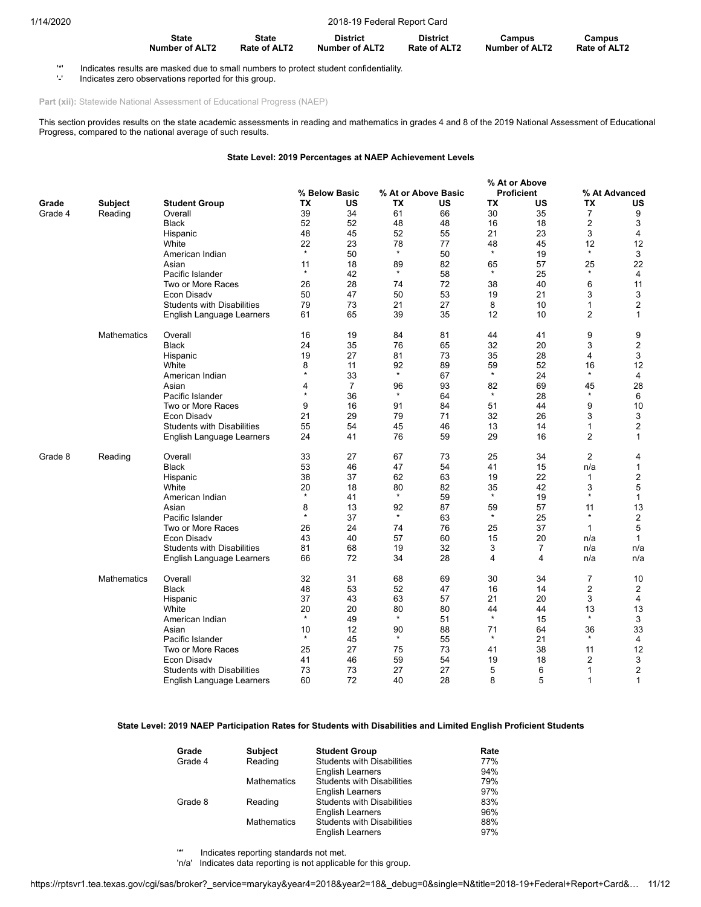| <b>State</b>   | <b>State</b> | <b>District</b> | <b>District</b>     | Campus                | Campus              |
|----------------|--------------|-----------------|---------------------|-----------------------|---------------------|
| Number of ALT2 | Rate of ALT2 | Number of ALT2  | <b>Rate of ALT2</b> | <b>Number of ALT2</b> | <b>Rate of ALT2</b> |

'\*' Indicates results are masked due to small numbers to protect student confidentiality.

Indicates zero observations reported for this group.

Part (xii): Statewide National Assessment of Educational Progress (NAEP)

This section provides results on the state academic assessments in reading and mathematics in grades 4 and 8 of the 2019 National Assessment of Educational Progress, compared to the national average of such results.

## **State Level: 2019 Percentages at NAEP Achievement Levels**

|         |                    |                                   |                   |                |               |                     |               | % At or Above     |                |                  |
|---------|--------------------|-----------------------------------|-------------------|----------------|---------------|---------------------|---------------|-------------------|----------------|------------------|
|         |                    |                                   |                   | % Below Basic  |               | % At or Above Basic |               | <b>Proficient</b> |                | % At Advanced    |
| Grade   | Subject            | <b>Student Group</b>              | TX                | US             | <b>TX</b>     | US                  | ТX            | US                | <b>TX</b>      | US               |
| Grade 4 | Reading            | Overall                           | 39                | 34             | 61            | 66                  | 30            | 35                | 7              | 9                |
|         |                    | <b>Black</b>                      | 52                | 52             | 48            | 48                  | 16            | 18                | 2              | 3                |
|         |                    |                                   | 48                | 45             | 52            | 55                  | 21            | 23                | 3              | $\overline{4}$   |
|         |                    | Hispanic                          |                   |                |               |                     |               |                   |                |                  |
|         |                    | White                             | 22<br>$\star$     | 23             | 78<br>$\star$ | 77                  | 48            | 45                | 12<br>$\star$  | 12               |
|         |                    | American Indian                   |                   | 50             |               | 50                  | $\star$       | 19                |                | 3                |
|         |                    | Asian                             | 11                | 18             | 89            | 82                  | 65            | 57                | 25             | 22               |
|         |                    | Pacific Islander                  | $\pmb{\ast}$      | 42             | $\star$       | 58                  | $\star$       | 25                | $\star$        | $\overline{4}$   |
|         |                    | Two or More Races                 | 26                | 28             | 74            | 72                  | 38            | 40                | 6              | 11               |
|         |                    | <b>Econ Disadv</b>                | 50                | 47             | 50            | 53                  | 19            | 21                | 3              | 3                |
|         |                    | <b>Students with Disabilities</b> | 79                | 73             | 21            | 27                  | 8             | 10                | 1              | $\overline{2}$   |
|         |                    | English Language Learners         | 61                | 65             | 39            | 35                  | 12            | 10                | 2              | $\mathbf{1}$     |
|         |                    |                                   |                   |                |               |                     |               |                   |                |                  |
|         | <b>Mathematics</b> | Overall                           | 16                | 19             | 84            | 81                  | 44            | 41                | 9              | 9                |
|         |                    | <b>Black</b>                      | 24                | 35             | 76            | 65                  | 32            | 20                | 3              | $\overline{c}$   |
|         |                    | Hispanic                          | 19                | 27             | 81            | 73                  | 35            | 28                | 4              | 3                |
|         |                    | White                             | 8                 | 11             | 92            | 89                  | 59            | 52                | 16             | 12               |
|         |                    | American Indian                   | $\pmb{\ast}$      | 33             | $\star$       | 67                  | $\star$       | 24                | $\star$        | 4                |
|         |                    |                                   |                   | $\overline{7}$ |               | 93                  |               | 69                |                |                  |
|         |                    | Asian                             | 4<br>$\pmb{\ast}$ |                | 96<br>$\star$ |                     | 82<br>$\star$ |                   | 45<br>$\star$  | 28               |
|         |                    | Pacific Islander                  |                   | 36             |               | 64                  |               | 28                |                | 6                |
|         |                    | Two or More Races                 | 9                 | 16             | 91            | 84                  | 51            | 44                | 9              | 10               |
|         |                    | Econ Disadv                       | 21                | 29             | 79            | 71                  | 32            | 26                | 3              | 3                |
|         |                    | <b>Students with Disabilities</b> | 55                | 54             | 45            | 46                  | 13            | 14                | 1              | $\overline{c}$   |
|         |                    | English Language Learners         | 24                | 41             | 76            | 59                  | 29            | 16                | 2              | $\mathbf{1}$     |
| Grade 8 | Reading            | Overall                           | 33                | 27             | 67            | 73                  | 25            | 34                | $\overline{2}$ | 4                |
|         |                    | <b>Black</b>                      | 53                | 46             | 47            | 54                  | 41            | 15                | n/a            | 1                |
|         |                    | Hispanic                          | 38                | 37             | 62            | 63                  | 19            | 22                | 1              | $\boldsymbol{2}$ |
|         |                    | White                             | 20                | 18             | 80            | 82                  | 35            | 42                | 3              | 5                |
|         |                    |                                   | $\star$           |                | $\star$       |                     | $\star$       |                   | $\star$        |                  |
|         |                    | American Indian                   |                   | 41             |               | 59                  |               | 19                |                | 1                |
|         |                    | Asian                             | 8                 | 13             | 92            | 87                  | 59            | 57                | 11             | 13               |
|         |                    | Pacific Islander                  | $\star$           | 37             | $\star$       | 63                  | $\star$       | 25                | $\star$        | $\overline{c}$   |
|         |                    | Two or More Races                 | 26                | 24             | 74            | 76                  | 25            | 37                | $\mathbf{1}$   | 5                |
|         |                    | Econ Disadv                       | 43                | 40             | 57            | 60                  | 15            | 20                | n/a            | $\mathbf{1}$     |
|         |                    | <b>Students with Disabilities</b> | 81                | 68             | 19            | 32                  | 3             | $\overline{7}$    | n/a            | n/a              |
|         |                    | English Language Learners         | 66                | 72             | 34            | 28                  | 4             | 4                 | n/a            | n/a              |
|         | <b>Mathematics</b> | Overall                           | 32                | 31             | 68            | 69                  | 30            | 34                | $\overline{7}$ | 10               |
|         |                    | <b>Black</b>                      | 48                | 53             | 52            | 47                  | 16            | 14                | 2              | $\overline{c}$   |
|         |                    |                                   | 37                | 43             | 63            | 57                  | 21            | 20                | 3              | 4                |
|         |                    | Hispanic                          |                   |                |               |                     |               |                   |                |                  |
|         |                    | White                             | 20<br>$\star$     | 20             | 80<br>$\star$ | 80                  | 44<br>$\star$ | 44                | 13<br>$\star$  | 13               |
|         |                    | American Indian                   |                   | 49             |               | 51                  |               | 15                |                | 3                |
|         |                    | Asian                             | 10                | 12             | 90            | 88                  | 71            | 64                | 36             | 33               |
|         |                    | Pacific Islander                  | $\star$           | 45             | $\star$       | 55                  | $\star$       | 21                | $\star$        | 4                |
|         |                    | Two or More Races                 | 25                | 27             | 75            | 73                  | 41            | 38                | 11             | 12               |
|         |                    | Econ Disadv                       | 41                | 46             | 59            | 54                  | 19            | 18                | 2              | 3                |
|         |                    | Students with Disabilities        | 73                | 73             | 27            | 27                  | 5             | 6                 | 1              | $\overline{2}$   |
|         |                    | English Language Learners         | 60                | 72             | 40            | 28                  | 8             | 5                 | 1              | 1                |
|         |                    |                                   |                   |                |               |                     |               |                   |                |                  |

**State Level: 2019 NAEP Participation Rates for Students with Disabilities and Limited English Proficient Students**

| Grade   | <b>Subject</b>     | <b>Student Group</b>              | Rate |
|---------|--------------------|-----------------------------------|------|
| Grade 4 | Reading            | <b>Students with Disabilities</b> | 77%  |
|         |                    | <b>English Learners</b>           | 94%  |
|         | <b>Mathematics</b> | <b>Students with Disabilities</b> | 79%  |
|         |                    | <b>English Learners</b>           | 97%  |
| Grade 8 | Reading            | <b>Students with Disabilities</b> | 83%  |
|         |                    | <b>English Learners</b>           | 96%  |
|         | Mathematics        | <b>Students with Disabilities</b> | 88%  |
|         |                    | <b>English Learners</b>           | 97%  |

'\*' Indicates reporting standards not met.

'n/a' Indicates data reporting is not applicable for this group.